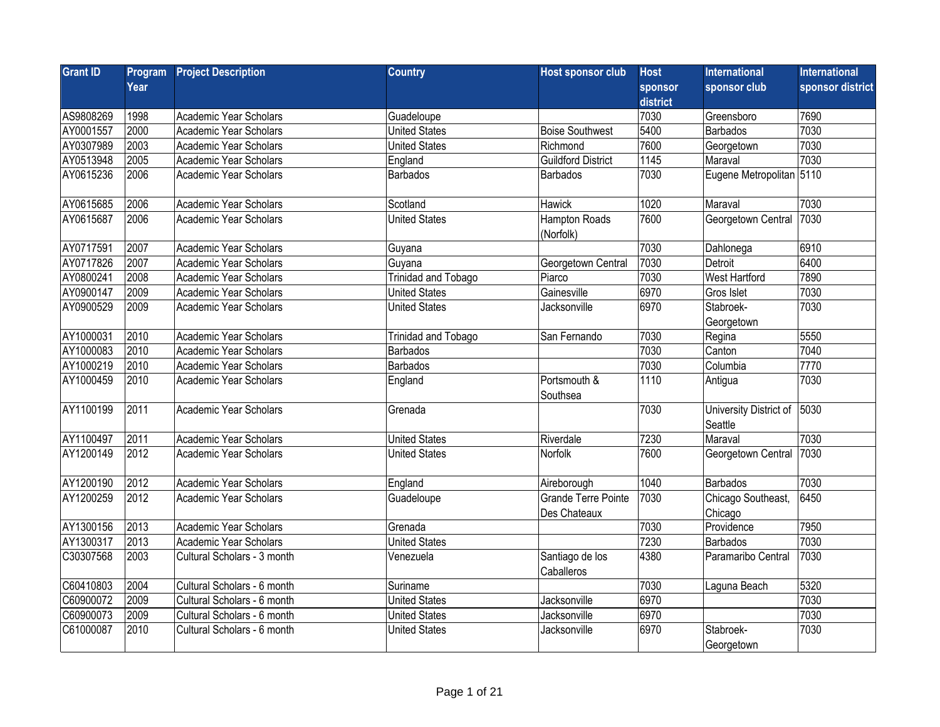| <b>Grant ID</b> | Program | <b>Project Description</b>    | <b>Country</b>             | <b>Host sponsor club</b>                   | <b>Host</b> | <b>International</b>              | <b>International</b> |
|-----------------|---------|-------------------------------|----------------------------|--------------------------------------------|-------------|-----------------------------------|----------------------|
|                 | Year    |                               |                            |                                            | sponsor     | sponsor club                      | sponsor district     |
|                 |         |                               |                            |                                            | district    |                                   |                      |
| AS9808269       | 1998    | Academic Year Scholars        | Guadeloupe                 |                                            | 7030        | Greensboro                        | 7690                 |
| AY0001557       | 2000    | Academic Year Scholars        | <b>United States</b>       | <b>Boise Southwest</b>                     | 5400        | Barbados                          | 7030                 |
| AY0307989       | 2003    | Academic Year Scholars        | <b>United States</b>       | Richmond                                   | 7600        | Georgetown                        | 7030                 |
| AY0513948       | 2005    | Academic Year Scholars        | England                    | <b>Guildford District</b>                  | 1145        | Maraval                           | 7030                 |
| AY0615236       | 2006    | Academic Year Scholars        | <b>Barbados</b>            | <b>Barbados</b>                            | 7030        | Eugene Metropolitan 5110          |                      |
| AY0615685       | 2006    | Academic Year Scholars        | Scotland                   | Hawick                                     | 1020        | Maraval                           | 7030                 |
| AY0615687       | 2006    | Academic Year Scholars        | <b>United States</b>       | <b>Hampton Roads</b><br>(Norfolk)          | 7600        | Georgetown Central                | 7030                 |
| AY0717591       | 2007    | Academic Year Scholars        | Guyana                     |                                            | 7030        | Dahlonega                         | 6910                 |
| AY0717826       | 2007    | <b>Academic Year Scholars</b> | Guyana                     | Georgetown Central                         | 7030        | Detroit                           | 6400                 |
| AY0800241       | 2008    | Academic Year Scholars        | <b>Trinidad and Tobago</b> | Piarco                                     | 7030        | West Hartford                     | 7890                 |
| AY0900147       | 2009    | Academic Year Scholars        | <b>United States</b>       | Gainesville                                | 6970        | Gros Islet                        | 7030                 |
| AY0900529       | 2009    | Academic Year Scholars        | <b>United States</b>       | Jacksonville                               | 6970        | Stabroek-                         | 7030                 |
|                 |         |                               |                            |                                            |             | Georgetown                        |                      |
| AY1000031       | 2010    | Academic Year Scholars        | Trinidad and Tobago        | San Fernando                               | 7030        | Regina                            | 5550                 |
| AY1000083       | 2010    | Academic Year Scholars        | <b>Barbados</b>            |                                            | 7030        | Canton                            | 7040                 |
| AY1000219       | 2010    | Academic Year Scholars        | <b>Barbados</b>            |                                            | 7030        | Columbia                          | 7770                 |
| AY1000459       | 2010    | Academic Year Scholars        | England                    | Portsmouth &<br>Southsea                   | 1110        | Antigua                           | 7030                 |
| AY1100199       | 2011    | Academic Year Scholars        | Grenada                    |                                            | 7030        | University District of<br>Seattle | 5030                 |
| AY1100497       | 2011    | Academic Year Scholars        | <b>United States</b>       | Riverdale                                  | 7230        | Maraval                           | 7030                 |
| AY1200149       | 2012    | Academic Year Scholars        | <b>United States</b>       | Norfolk                                    | 7600        | Georgetown Central                | 7030                 |
| AY1200190       | 2012    | Academic Year Scholars        | England                    | Aireborough                                | 1040        | Barbados                          | 7030                 |
| AY1200259       | 2012    | Academic Year Scholars        | Guadeloupe                 | <b>Grande Terre Pointe</b><br>Des Chateaux | 7030        | Chicago Southeast,<br>Chicago     | 6450                 |
| AY1300156       | 2013    | Academic Year Scholars        | Grenada                    |                                            | 7030        | Providence                        | 7950                 |
| AY1300317       | 2013    | Academic Year Scholars        | <b>United States</b>       |                                            | 7230        | Barbados                          | 7030                 |
| C30307568       | 2003    | Cultural Scholars - 3 month   | Venezuela                  | Santiago de los<br>Caballeros              | 4380        | Paramaribo Central                | 7030                 |
| C60410803       | 2004    | Cultural Scholars - 6 month   | Suriname                   |                                            | 7030        | Laguna Beach                      | 5320                 |
| C60900072       | 2009    | Cultural Scholars - 6 month   | <b>United States</b>       | Jacksonville                               | 6970        |                                   | 7030                 |
| C60900073       | 2009    | Cultural Scholars - 6 month   | <b>United States</b>       | Jacksonville                               | 6970        |                                   | 7030                 |
| C61000087       | 2010    | Cultural Scholars - 6 month   | <b>United States</b>       | Jacksonville                               | 6970        | Stabroek-<br>Georgetown           | 7030                 |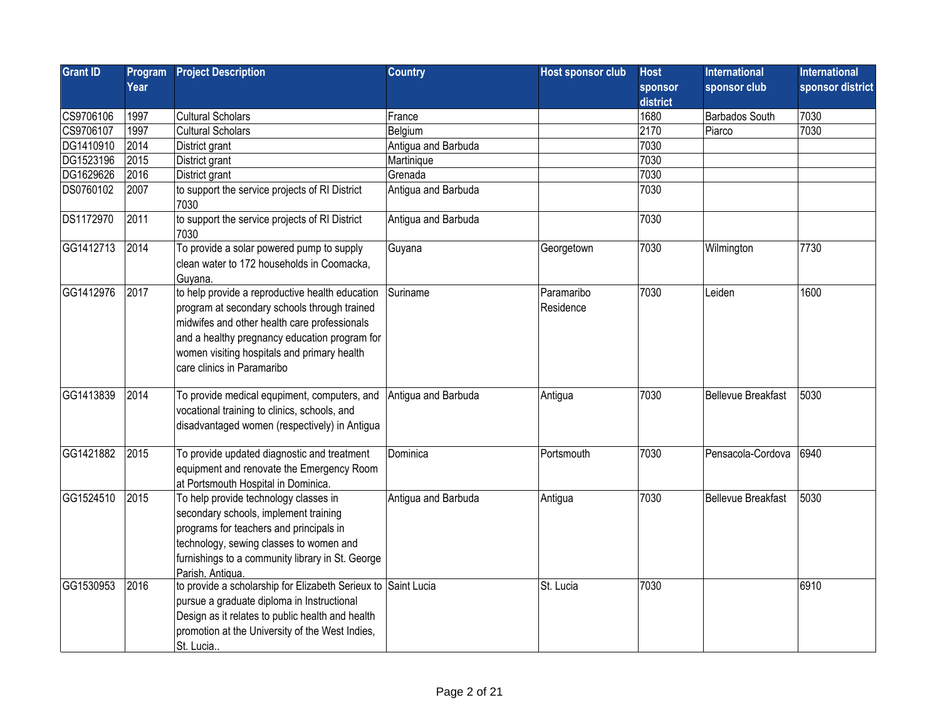| <b>Grant ID</b> | Program | <b>Project Description</b>                                                                                                                                                                                                                                                    | <b>Country</b>      | Host sponsor club       | <b>Host</b> | <b>International</b>      | <b>International</b> |
|-----------------|---------|-------------------------------------------------------------------------------------------------------------------------------------------------------------------------------------------------------------------------------------------------------------------------------|---------------------|-------------------------|-------------|---------------------------|----------------------|
|                 | Year    |                                                                                                                                                                                                                                                                               |                     |                         | sponsor     | sponsor club              | sponsor district     |
|                 |         |                                                                                                                                                                                                                                                                               |                     |                         | district    |                           |                      |
| CS9706106       | 1997    | <b>Cultural Scholars</b>                                                                                                                                                                                                                                                      | France              |                         | 1680        | <b>Barbados South</b>     | 7030                 |
| CS9706107       | 1997    | <b>Cultural Scholars</b>                                                                                                                                                                                                                                                      | Belgium             |                         | 2170        | Piarco                    | 7030                 |
| DG1410910       | 2014    | District grant                                                                                                                                                                                                                                                                | Antigua and Barbuda |                         | 7030        |                           |                      |
| DG1523196       | 2015    | District grant                                                                                                                                                                                                                                                                | Martinique          |                         | 7030        |                           |                      |
| DG1629626       | 2016    | District grant                                                                                                                                                                                                                                                                | Grenada             |                         | 7030        |                           |                      |
| DS0760102       | 2007    | to support the service projects of RI District<br>7030                                                                                                                                                                                                                        | Antigua and Barbuda |                         | 7030        |                           |                      |
| DS1172970       | 2011    | to support the service projects of RI District<br>7030                                                                                                                                                                                                                        | Antigua and Barbuda |                         | 7030        |                           |                      |
| GG1412713       | 2014    | To provide a solar powered pump to supply<br>clean water to 172 households in Coomacka,<br>Guyana.                                                                                                                                                                            | Guyana              | Georgetown              | 7030        | Wilmington                | 7730                 |
| GG1412976       | 2017    | to help provide a reproductive health education<br>program at secondary schools through trained<br>midwifes and other health care professionals<br>and a healthy pregnancy education program for<br>women visiting hospitals and primary health<br>care clinics in Paramaribo | Suriname            | Paramaribo<br>Residence | 7030        | Leiden                    | 1600                 |
| GG1413839       | 2014    | To provide medical equpiment, computers, and<br>vocational training to clinics, schools, and<br>disadvantaged women (respectively) in Antigua                                                                                                                                 | Antigua and Barbuda | Antigua                 | 7030        | <b>Bellevue Breakfast</b> | 5030                 |
| GG1421882       | 2015    | To provide updated diagnostic and treatment<br>equipment and renovate the Emergency Room<br>at Portsmouth Hospital in Dominica.                                                                                                                                               | Dominica            | Portsmouth              | 7030        | Pensacola-Cordova         | 6940                 |
| GG1524510       | 2015    | To help provide technology classes in<br>secondary schools, implement training<br>programs for teachers and principals in<br>technology, sewing classes to women and<br>furnishings to a community library in St. George<br>Parish. Antiqua.                                  | Antigua and Barbuda | Antigua                 | 7030        | <b>Bellevue Breakfast</b> | 5030                 |
| GG1530953       | 2016    | to provide a scholarship for Elizabeth Serieux to Saint Lucia<br>pursue a graduate diploma in Instructional<br>Design as it relates to public health and health<br>promotion at the University of the West Indies,<br>St. Lucia                                               |                     | St. Lucia               | 7030        |                           | 6910                 |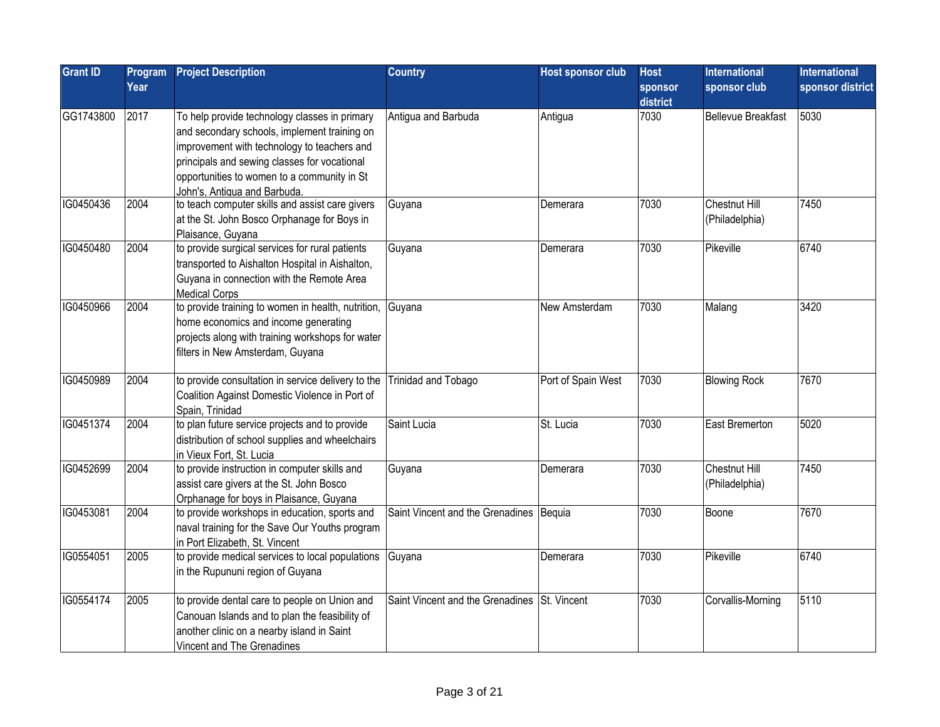| <b>Grant ID</b> | Program<br>Year | <b>Project Description</b>                                                                                                                                                                                                                                                  | <b>Country</b>                               | <b>Host sponsor club</b> | <b>Host</b><br>sponsor<br>district | International<br>sponsor club   | <b>International</b><br>sponsor district |
|-----------------|-----------------|-----------------------------------------------------------------------------------------------------------------------------------------------------------------------------------------------------------------------------------------------------------------------------|----------------------------------------------|--------------------------|------------------------------------|---------------------------------|------------------------------------------|
| GG1743800       | 2017            | To help provide technology classes in primary<br>and secondary schools, implement training on<br>improvement with technology to teachers and<br>principals and sewing classes for vocational<br>opportunities to women to a community in St<br>John's, Antiqua and Barbuda. | Antigua and Barbuda                          | Antigua                  | 7030                               | Bellevue Breakfast              | 5030                                     |
| IG0450436       | 2004            | to teach computer skills and assist care givers<br>at the St. John Bosco Orphanage for Boys in<br>Plaisance, Guyana                                                                                                                                                         | Guyana                                       | Demerara                 | 7030                               | Chestnut Hill<br>(Philadelphia) | 7450                                     |
| IG0450480       | 2004            | to provide surgical services for rural patients<br>transported to Aishalton Hospital in Aishalton,<br>Guyana in connection with the Remote Area<br><b>Medical Corps</b>                                                                                                     | Guyana                                       | Demerara                 | 7030                               | Pikeville                       | 6740                                     |
| IG0450966       | 2004            | to provide training to women in health, nutrition, Guyana<br>home economics and income generating<br>projects along with training workshops for water<br>filters in New Amsterdam, Guyana                                                                                   |                                              | New Amsterdam            | 7030                               | Malang                          | 3420                                     |
| IG0450989       | 2004            | to provide consultation in service delivery to the<br>Coalition Against Domestic Violence in Port of<br>Spain, Trinidad                                                                                                                                                     | Trinidad and Tobago                          | Port of Spain West       | 7030                               | <b>Blowing Rock</b>             | 7670                                     |
| IG0451374       | 2004            | to plan future service projects and to provide<br>distribution of school supplies and wheelchairs<br>in Vieux Fort, St. Lucia                                                                                                                                               | Saint Lucia                                  | St. Lucia                | 7030                               | East Bremerton                  | 5020                                     |
| IG0452699       | 2004            | to provide instruction in computer skills and<br>assist care givers at the St. John Bosco<br>Orphanage for boys in Plaisance, Guyana                                                                                                                                        | Guyana                                       | Demerara                 | 7030                               | Chestnut Hill<br>(Philadelphia) | 7450                                     |
| IG0453081       | 2004            | to provide workshops in education, sports and<br>naval training for the Save Our Youths program<br>in Port Elizabeth, St. Vincent                                                                                                                                           | Saint Vincent and the Grenadines Bequia      |                          | 7030                               | Boone                           | 7670                                     |
| IG0554051       | 2005            | to provide medical services to local populations<br>in the Rupununi region of Guyana                                                                                                                                                                                        | Guyana                                       | Demerara                 | 7030                               | Pikeville                       | 6740                                     |
| IG0554174       | 2005            | to provide dental care to people on Union and<br>Canouan Islands and to plan the feasibility of<br>another clinic on a nearby island in Saint<br>Vincent and The Grenadines                                                                                                 | Saint Vincent and the Grenadines St. Vincent |                          | 7030                               | Corvallis-Morning               | 5110                                     |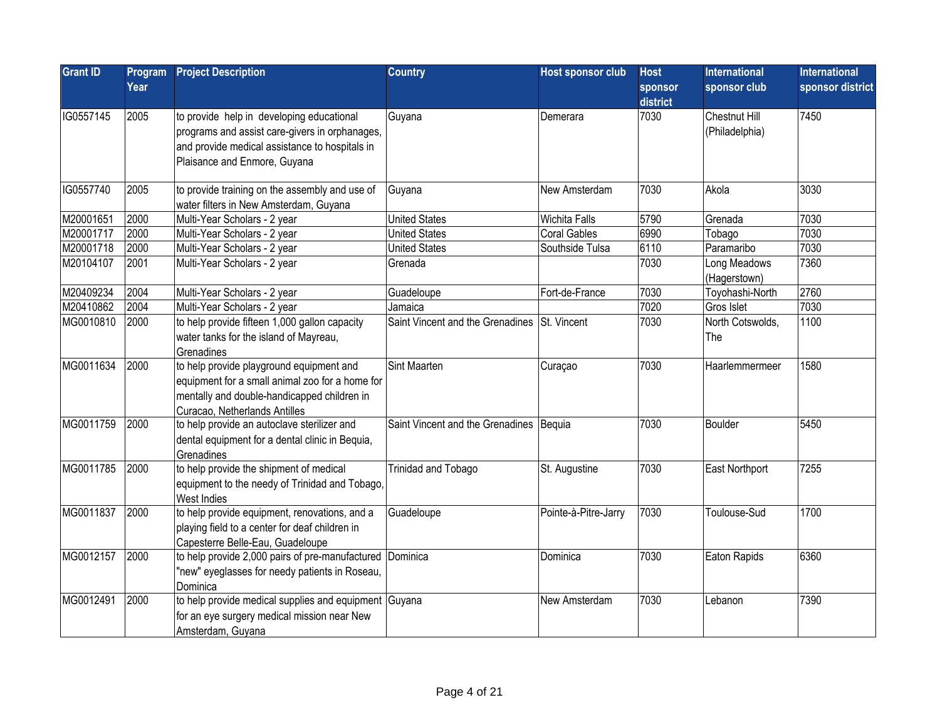| <b>Grant ID</b> | Program<br>Year | <b>Project Description</b>                                                                                                                                                    | <b>Country</b>                               | <b>Host sponsor club</b> | <b>Host</b><br>sponsor<br>district | <b>International</b><br>sponsor club | <b>International</b><br>sponsor district |
|-----------------|-----------------|-------------------------------------------------------------------------------------------------------------------------------------------------------------------------------|----------------------------------------------|--------------------------|------------------------------------|--------------------------------------|------------------------------------------|
| IG0557145       | 2005            | to provide help in developing educational<br>programs and assist care-givers in orphanages,<br>and provide medical assistance to hospitals in<br>Plaisance and Enmore, Guyana | Guyana                                       | Demerara                 | 7030                               | Chestnut Hill<br>(Philadelphia)      | 7450                                     |
| IG0557740       | 2005            | to provide training on the assembly and use of<br>water filters in New Amsterdam, Guyana                                                                                      | Guyana                                       | New Amsterdam            | 7030                               | Akola                                | 3030                                     |
| M20001651       | 2000            | Multi-Year Scholars - 2 year                                                                                                                                                  | <b>United States</b>                         | <b>Wichita Falls</b>     | 5790                               | Grenada                              | 7030                                     |
| M20001717       | 2000            | Multi-Year Scholars - 2 year                                                                                                                                                  | <b>United States</b>                         | <b>Coral Gables</b>      | 6990                               | Tobago                               | 7030                                     |
| M20001718       | 2000            | Multi-Year Scholars - 2 year                                                                                                                                                  | <b>United States</b>                         | Southside Tulsa          | 6110                               | Paramaribo                           | 7030                                     |
| M20104107       | 2001            | Multi-Year Scholars - 2 year                                                                                                                                                  | Grenada                                      |                          | 7030                               | Long Meadows<br>(Hagerstown)         | 7360                                     |
| M20409234       | 2004            | Multi-Year Scholars - 2 year                                                                                                                                                  | Guadeloupe                                   | Fort-de-France           | 7030                               | Toyohashi-North                      | 2760                                     |
| M20410862       | 2004            | Multi-Year Scholars - 2 year                                                                                                                                                  | Jamaica                                      |                          | 7020                               | Gros Islet                           | 7030                                     |
| MG0010810       | 2000            | to help provide fifteen 1,000 gallon capacity<br>water tanks for the island of Mayreau,<br>Grenadines                                                                         | Saint Vincent and the Grenadines St. Vincent |                          | 7030                               | North Cotswolds,<br>The              | 1100                                     |
| MG0011634       | 2000            | to help provide playground equipment and<br>equipment for a small animal zoo for a home for<br>mentally and double-handicapped children in<br>Curacao, Netherlands Antilles   | <b>Sint Maarten</b>                          | Curaçao                  | 7030                               | Haarlemmermeer                       | 1580                                     |
| MG0011759       | 2000            | to help provide an autoclave sterilizer and<br>dental equipment for a dental clinic in Bequia,<br>Grenadines                                                                  | Saint Vincent and the Grenadines Bequia      |                          | 7030                               | Boulder                              | 5450                                     |
| MG0011785       | 2000            | to help provide the shipment of medical<br>equipment to the needy of Trinidad and Tobago,<br>West Indies                                                                      | Trinidad and Tobago                          | St. Augustine            | 7030                               | East Northport                       | 7255                                     |
| MG0011837       | 2000            | to help provide equipment, renovations, and a<br>playing field to a center for deaf children in<br>Capesterre Belle-Eau, Guadeloupe                                           | Guadeloupe                                   | Pointe-à-Pitre-Jarry     | 7030                               | Toulouse-Sud                         | 1700                                     |
| MG0012157       | 2000            | to help provide 2,000 pairs of pre-manufactured Dominica<br>"new" eyeglasses for needy patients in Roseau,<br>Dominica                                                        |                                              | Dominica                 | 7030                               | Eaton Rapids                         | 6360                                     |
| MG0012491       | 2000            | to help provide medical supplies and equipment Guyana<br>for an eye surgery medical mission near New<br>Amsterdam, Guyana                                                     |                                              | New Amsterdam            | 7030                               | Lebanon                              | 7390                                     |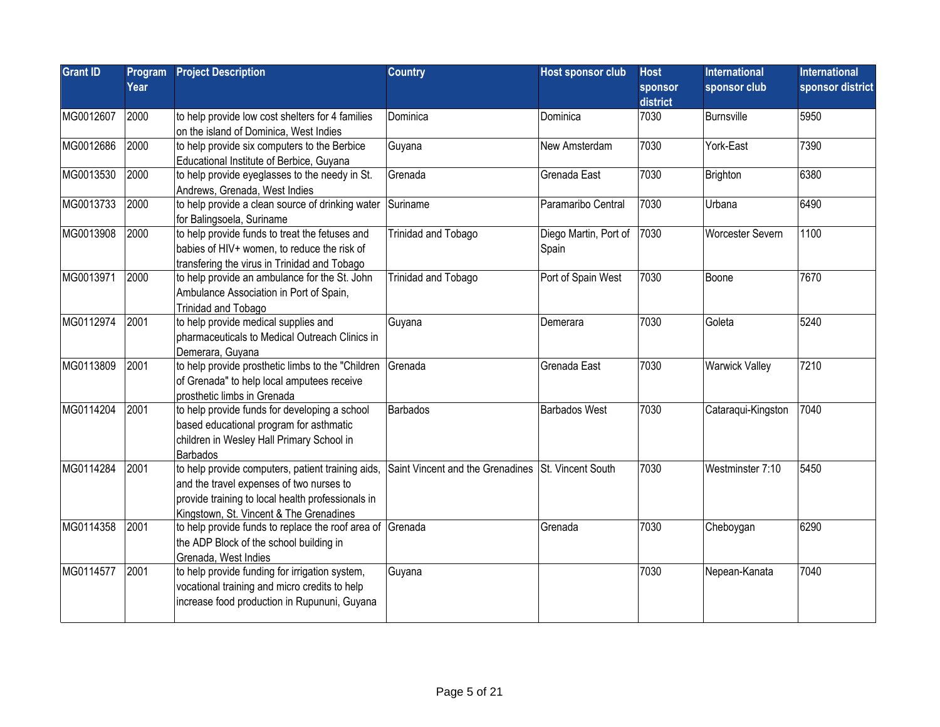| <b>Grant ID</b> | Program | <b>Project Description</b>                                | <b>Country</b>                   | <b>Host sponsor club</b> | <b>Host</b>         | <b>International</b>  | <b>International</b> |
|-----------------|---------|-----------------------------------------------------------|----------------------------------|--------------------------|---------------------|-----------------------|----------------------|
|                 | Year    |                                                           |                                  |                          | sponsor<br>district | sponsor club          | sponsor district     |
| MG0012607       | 2000    | to help provide low cost shelters for 4 families          | Dominica                         | Dominica                 | 7030                | Burnsville            | 5950                 |
|                 |         | on the island of Dominica, West Indies                    |                                  |                          |                     |                       |                      |
| MG0012686       | 2000    | to help provide six computers to the Berbice              | Guyana                           | New Amsterdam            | 7030                | York-East             | 7390                 |
|                 |         | Educational Institute of Berbice, Guyana                  |                                  |                          |                     |                       |                      |
| MG0013530       | 2000    | to help provide eyeglasses to the needy in St.            | Grenada                          | Grenada East             | 7030                | Brighton              | 6380                 |
|                 |         | Andrews, Grenada, West Indies                             |                                  |                          |                     |                       |                      |
| MG0013733       | 2000    | to help provide a clean source of drinking water          | Suriname                         | Paramaribo Central       | 7030                | Urbana                | 6490                 |
|                 |         | for Balingsoela, Suriname                                 |                                  |                          |                     |                       |                      |
| MG0013908       | 2000    | to help provide funds to treat the fetuses and            | Trinidad and Tobago              | Diego Martin, Port of    | 7030                | Worcester Severn      | 1100                 |
|                 |         | babies of HIV+ women, to reduce the risk of               |                                  | Spain                    |                     |                       |                      |
|                 |         | transfering the virus in Trinidad and Tobago              |                                  |                          |                     |                       |                      |
| MG0013971       | 2000    | to help provide an ambulance for the St. John             | Trinidad and Tobago              | Port of Spain West       | 7030                | Boone                 | 7670                 |
|                 |         | Ambulance Association in Port of Spain,                   |                                  |                          |                     |                       |                      |
|                 |         | Trinidad and Tobago                                       |                                  |                          |                     |                       |                      |
| MG0112974       | 2001    | to help provide medical supplies and                      | Guyana                           | Demerara                 | 7030                | Goleta                | 5240                 |
|                 |         | pharmaceuticals to Medical Outreach Clinics in            |                                  |                          |                     |                       |                      |
|                 |         | Demerara, Guyana                                          |                                  |                          |                     |                       |                      |
| MG0113809       | 2001    | to help provide prosthetic limbs to the "Children         | Grenada                          | Grenada East             | 7030                | <b>Warwick Valley</b> | 7210                 |
|                 |         | of Grenada" to help local amputees receive                |                                  |                          |                     |                       |                      |
|                 |         | prosthetic limbs in Grenada                               |                                  |                          |                     |                       |                      |
| MG0114204       | 2001    | to help provide funds for developing a school             | <b>Barbados</b>                  | <b>Barbados West</b>     | 7030                | Cataraqui-Kingston    | 7040                 |
|                 |         | based educational program for asthmatic                   |                                  |                          |                     |                       |                      |
|                 |         | children in Wesley Hall Primary School in                 |                                  |                          |                     |                       |                      |
|                 |         | <b>Barbados</b>                                           |                                  |                          |                     |                       |                      |
| MG0114284       | 2001    | to help provide computers, patient training aids,         | Saint Vincent and the Grenadines | St. Vincent South        | 7030                | Westminster 7:10      | 5450                 |
|                 |         | and the travel expenses of two nurses to                  |                                  |                          |                     |                       |                      |
|                 |         | provide training to local health professionals in         |                                  |                          |                     |                       |                      |
|                 |         | Kingstown, St. Vincent & The Grenadines                   |                                  |                          |                     |                       |                      |
| MG0114358       | 2001    | to help provide funds to replace the roof area of Grenada |                                  | Grenada                  | 7030                | Cheboygan             | 6290                 |
|                 |         | the ADP Block of the school building in                   |                                  |                          |                     |                       |                      |
|                 |         | Grenada, West Indies                                      |                                  |                          |                     |                       |                      |
| MG0114577       | 2001    | to help provide funding for irrigation system,            | Guyana                           |                          | 7030                | Nepean-Kanata         | 7040                 |
|                 |         | vocational training and micro credits to help             |                                  |                          |                     |                       |                      |
|                 |         | increase food production in Rupununi, Guyana              |                                  |                          |                     |                       |                      |
|                 |         |                                                           |                                  |                          |                     |                       |                      |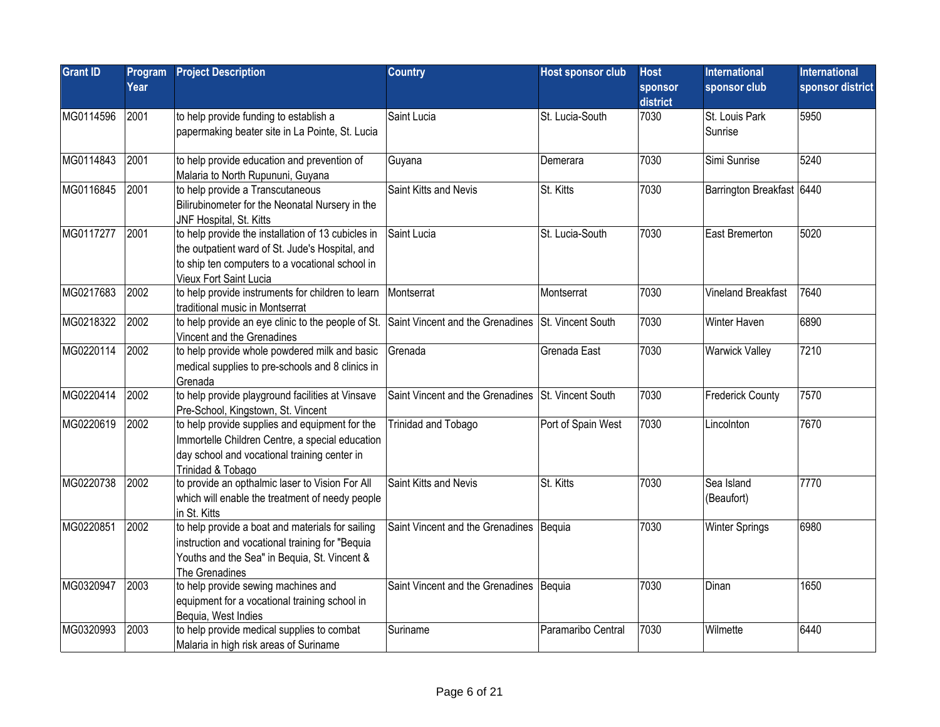| <b>Grant ID</b> | Program<br>Year | <b>Project Description</b>                                                                                                                                                         | <b>Country</b>                                     | <b>Host sponsor club</b> | <b>Host</b><br>sponsor<br>district | <b>International</b><br>sponsor club | <b>International</b><br>sponsor district |
|-----------------|-----------------|------------------------------------------------------------------------------------------------------------------------------------------------------------------------------------|----------------------------------------------------|--------------------------|------------------------------------|--------------------------------------|------------------------------------------|
| MG0114596       | 2001            | to help provide funding to establish a<br>papermaking beater site in La Pointe, St. Lucia                                                                                          | Saint Lucia                                        | St. Lucia-South          | 7030                               | St. Louis Park<br>Sunrise            | 5950                                     |
| MG0114843       | 2001            | to help provide education and prevention of<br>Malaria to North Rupununi, Guyana                                                                                                   | Guyana                                             | Demerara                 | 7030                               | Simi Sunrise                         | 5240                                     |
| MG0116845       | 2001            | to help provide a Transcutaneous<br>Bilirubinometer for the Neonatal Nursery in the<br>JNF Hospital, St. Kitts                                                                     | Saint Kitts and Nevis                              | <b>St. Kitts</b>         | 7030                               | Barrington Breakfast 6440            |                                          |
| MG0117277       | 2001            | to help provide the installation of 13 cubicles in<br>the outpatient ward of St. Jude's Hospital, and<br>to ship ten computers to a vocational school in<br>Vieux Fort Saint Lucia | Saint Lucia                                        | St. Lucia-South          | 7030                               | East Bremerton                       | 5020                                     |
| MG0217683       | 2002            | to help provide instruments for children to learn<br>traditional music in Montserrat                                                                                               | Montserrat                                         | Montserrat               | 7030                               | Vineland Breakfast                   | 7640                                     |
| MG0218322       | 2002            | to help provide an eye clinic to the people of St. Saint Vincent and the Grenadines St. Vincent South<br>Vincent and the Grenadines                                                |                                                    |                          | 7030                               | Winter Haven                         | 6890                                     |
| MG0220114       | 2002            | to help provide whole powdered milk and basic<br>medical supplies to pre-schools and 8 clinics in<br>Grenada                                                                       | Grenada                                            | Grenada East             | 7030                               | <b>Warwick Valley</b>                | 7210                                     |
| MG0220414       | 2002            | to help provide playground facilities at Vinsave<br>Pre-School, Kingstown, St. Vincent                                                                                             | Saint Vincent and the Grenadines St. Vincent South |                          | 7030                               | <b>Frederick County</b>              | 7570                                     |
| MG0220619       | 2002            | to help provide supplies and equipment for the<br>Immortelle Children Centre, a special education<br>day school and vocational training center in<br>Trinidad & Tobago             | Trinidad and Tobago                                | Port of Spain West       | 7030                               | Lincolnton                           | 7670                                     |
| MG0220738       | 2002            | to provide an opthalmic laser to Vision For All<br>which will enable the treatment of needy people<br>in St. Kitts                                                                 | Saint Kitts and Nevis                              | St. Kitts                | 7030                               | Sea Island<br>(Beaufort)             | 7770                                     |
| MG0220851       | 2002            | to help provide a boat and materials for sailing<br>instruction and vocational training for "Bequia<br>Youths and the Sea" in Bequia, St. Vincent &<br>The Grenadines              | Saint Vincent and the Grenadines   Bequia          |                          | 7030                               | <b>Winter Springs</b>                | 6980                                     |
| MG0320947       | 2003            | to help provide sewing machines and<br>equipment for a vocational training school in<br>Bequia, West Indies                                                                        | Saint Vincent and the Grenadines   Bequia          |                          | 7030                               | Dinan                                | 1650                                     |
| MG0320993       | 2003            | to help provide medical supplies to combat<br>Malaria in high risk areas of Suriname                                                                                               | Suriname                                           | Paramaribo Central       | 7030                               | Wilmette                             | 6440                                     |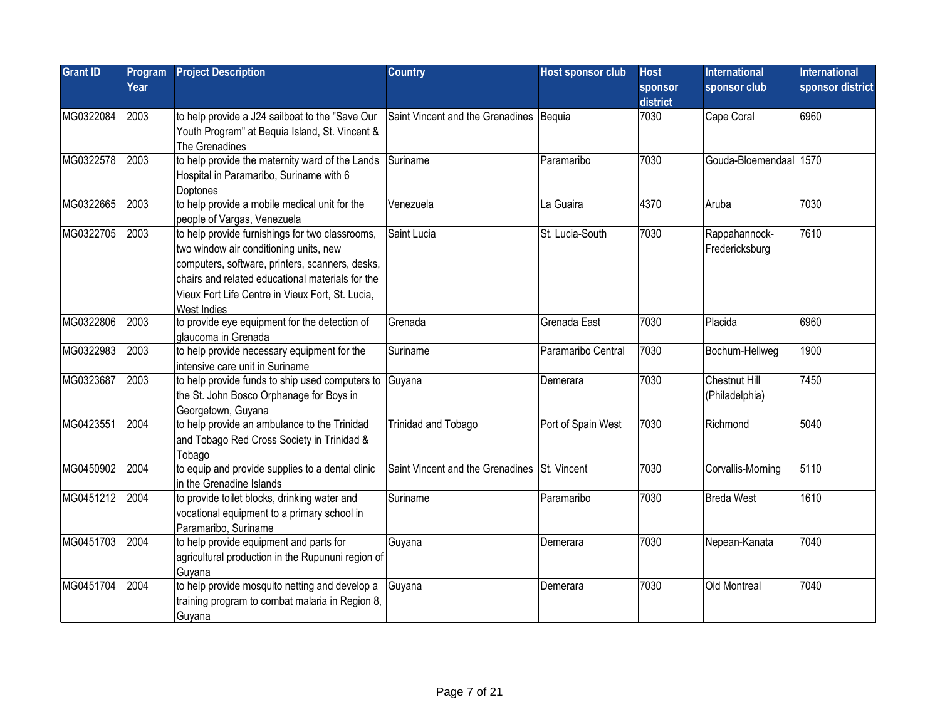| <b>Grant ID</b> | Program<br>Year | <b>Project Description</b>                                                                                                                                                                                                                                          | <b>Country</b>                          | Host sponsor club  | <b>Host</b><br>sponsor<br>district | International<br>sponsor club   | <b>International</b><br>sponsor district |
|-----------------|-----------------|---------------------------------------------------------------------------------------------------------------------------------------------------------------------------------------------------------------------------------------------------------------------|-----------------------------------------|--------------------|------------------------------------|---------------------------------|------------------------------------------|
| MG0322084       | 2003            | to help provide a J24 sailboat to the "Save Our<br>Youth Program" at Bequia Island, St. Vincent &<br>The Grenadines                                                                                                                                                 | Saint Vincent and the Grenadines Bequia |                    | 7030                               | Cape Coral                      | 6960                                     |
| MG0322578       | 2003            | to help provide the maternity ward of the Lands<br>Hospital in Paramaribo, Suriname with 6<br>Doptones                                                                                                                                                              | Suriname                                | Paramaribo         | 7030                               | Gouda-Bloemendaal 1570          |                                          |
| MG0322665       | 2003            | to help provide a mobile medical unit for the<br>people of Vargas, Venezuela                                                                                                                                                                                        | Venezuela                               | La Guaira          | 4370                               | Aruba                           | 7030                                     |
| MG0322705       | 2003            | to help provide furnishings for two classrooms,<br>two window air conditioning units, new<br>computers, software, printers, scanners, desks,<br>chairs and related educational materials for the<br>Vieux Fort Life Centre in Vieux Fort, St. Lucia,<br>West Indies | Saint Lucia                             | St. Lucia-South    | 7030                               | Rappahannock-<br>Fredericksburg | 7610                                     |
| MG0322806       | 2003            | to provide eye equipment for the detection of<br>glaucoma in Grenada                                                                                                                                                                                                | Grenada                                 | Grenada East       | 7030                               | Placida                         | 6960                                     |
| MG0322983       | 2003            | to help provide necessary equipment for the<br>intensive care unit in Suriname                                                                                                                                                                                      | Suriname                                | Paramaribo Central | 7030                               | Bochum-Hellweg                  | 1900                                     |
| MG0323687       | 2003            | to help provide funds to ship used computers to<br>the St. John Bosco Orphanage for Boys in<br>Georgetown, Guyana                                                                                                                                                   | Guyana                                  | Demerara           | 7030                               | Chestnut Hill<br>(Philadelphia) | 7450                                     |
| MG0423551       | 2004            | to help provide an ambulance to the Trinidad<br>and Tobago Red Cross Society in Trinidad &<br>Tobago                                                                                                                                                                | Trinidad and Tobago                     | Port of Spain West | 7030                               | Richmond                        | 5040                                     |
| MG0450902       | 2004            | to equip and provide supplies to a dental clinic<br>in the Grenadine Islands                                                                                                                                                                                        | Saint Vincent and the Grenadines        | St. Vincent        | 7030                               | Corvallis-Morning               | 5110                                     |
| MG0451212       | 2004            | to provide toilet blocks, drinking water and<br>vocational equipment to a primary school in<br>Paramaribo, Suriname                                                                                                                                                 | Suriname                                | Paramaribo         | 7030                               | Breda West                      | 1610                                     |
| MG0451703       | 2004            | to help provide equipment and parts for<br>agricultural production in the Rupununi region of<br>Guyana                                                                                                                                                              | Guyana                                  | Demerara           | 7030                               | Nepean-Kanata                   | 7040                                     |
| MG0451704       | 2004            | to help provide mosquito netting and develop a<br>training program to combat malaria in Region 8,<br>Guyana                                                                                                                                                         | Guyana                                  | lDemerara          | 7030                               | Old Montreal                    | 7040                                     |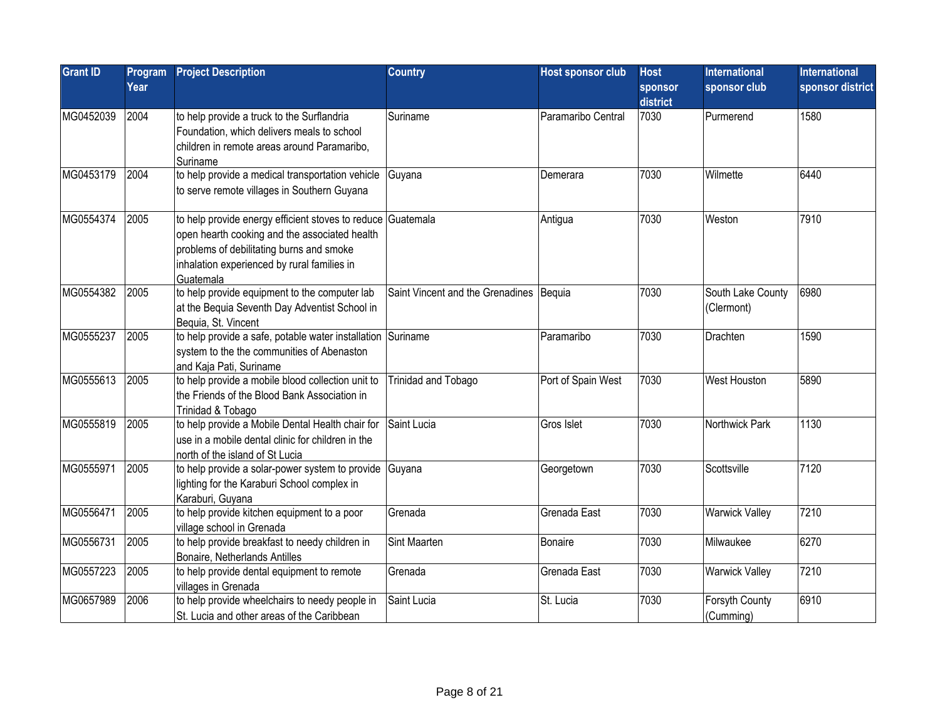| <b>Grant ID</b> | Program<br>Year | <b>Project Description</b>                                                                                                                                                                                           | <b>Country</b>                            | <b>Host sponsor club</b> | <b>Host</b><br>sponsor<br>district | <b>International</b><br>sponsor club | <b>International</b><br>sponsor district |
|-----------------|-----------------|----------------------------------------------------------------------------------------------------------------------------------------------------------------------------------------------------------------------|-------------------------------------------|--------------------------|------------------------------------|--------------------------------------|------------------------------------------|
| MG0452039       | 2004            | to help provide a truck to the Surflandria<br>Foundation, which delivers meals to school<br>children in remote areas around Paramaribo,<br>Suriname                                                                  | Suriname                                  | Paramaribo Central       | 7030                               | Purmerend                            | 1580                                     |
| MG0453179       | 2004            | to help provide a medical transportation vehicle Guyana<br>to serve remote villages in Southern Guyana                                                                                                               |                                           | Demerara                 | 7030                               | Wilmette                             | 6440                                     |
| MG0554374       | 2005            | to help provide energy efficient stoves to reduce Guatemala<br>open hearth cooking and the associated health<br>problems of debilitating burns and smoke<br>inhalation experienced by rural families in<br>Guatemala |                                           | Antigua                  | 7030                               | Weston                               | 7910                                     |
| MG0554382       | 2005            | to help provide equipment to the computer lab<br>at the Bequia Seventh Day Adventist School in<br>Bequia, St. Vincent                                                                                                | Saint Vincent and the Grenadines   Bequia |                          | 7030                               | South Lake County<br>(Clermont)      | 6980                                     |
| MG0555237       | 2005            | to help provide a safe, potable water installation Suriname<br>system to the the communities of Abenaston<br>and Kaja Pati, Suriname                                                                                 |                                           | Paramaribo               | 7030                               | Drachten                             | 1590                                     |
| MG0555613       | 2005            | to help provide a mobile blood collection unit to<br>the Friends of the Blood Bank Association in<br>Trinidad & Tobago                                                                                               | Trinidad and Tobago                       | Port of Spain West       | 7030                               | <b>West Houston</b>                  | 5890                                     |
| MG0555819       | 2005            | to help provide a Mobile Dental Health chair for<br>use in a mobile dental clinic for children in the<br>north of the island of St Lucia                                                                             | Saint Lucia                               | Gros Islet               | 7030                               | Northwick Park                       | 1130                                     |
| MG0555971       | 2005            | to help provide a solar-power system to provide Guyana<br>lighting for the Karaburi School complex in<br>Karaburi, Guyana                                                                                            |                                           | Georgetown               | 7030                               | Scottsville                          | 7120                                     |
| MG0556471       | 2005            | to help provide kitchen equipment to a poor<br>village school in Grenada                                                                                                                                             | Grenada                                   | Grenada East             | 7030                               | <b>Warwick Valley</b>                | 7210                                     |
| MG0556731       | 2005            | to help provide breakfast to needy children in<br>Bonaire, Netherlands Antilles                                                                                                                                      | Sint Maarten                              | <b>Bonaire</b>           | 7030                               | Milwaukee                            | 6270                                     |
| MG0557223       | 2005            | to help provide dental equipment to remote<br>villages in Grenada                                                                                                                                                    | Grenada                                   | Grenada East             | 7030                               | <b>Warwick Valley</b>                | 7210                                     |
| MG0657989       | 2006            | to help provide wheelchairs to needy people in<br>St. Lucia and other areas of the Caribbean                                                                                                                         | Saint Lucia                               | St. Lucia                | 7030                               | Forsyth County<br>(Cumming)          | 6910                                     |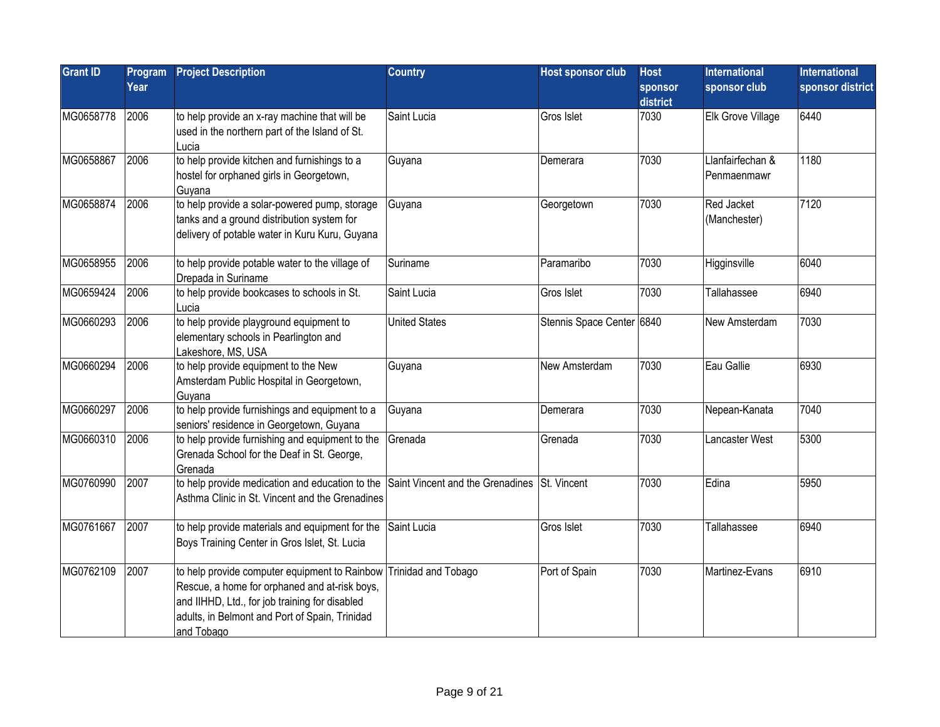| <b>Grant ID</b> | Program<br>Year | <b>Project Description</b>                                                                                                                                                                                                           | <b>Country</b>       | <b>Host sponsor club</b>  | <b>Host</b><br>sponsor<br>district | International<br>sponsor club   | <b>International</b><br>sponsor district |
|-----------------|-----------------|--------------------------------------------------------------------------------------------------------------------------------------------------------------------------------------------------------------------------------------|----------------------|---------------------------|------------------------------------|---------------------------------|------------------------------------------|
| MG0658778       | 2006            | to help provide an x-ray machine that will be<br>used in the northern part of the Island of St.<br>Lucia                                                                                                                             | Saint Lucia          | Gros Islet                | 7030                               | Elk Grove Village               | 6440                                     |
| MG0658867       | 2006            | to help provide kitchen and furnishings to a<br>hostel for orphaned girls in Georgetown,<br>Guyana                                                                                                                                   | Guyana               | Demerara                  | 7030                               | Llanfairfechan &<br>Penmaenmawr | 1180                                     |
| MG0658874       | 2006            | to help provide a solar-powered pump, storage<br>tanks and a ground distribution system for<br>delivery of potable water in Kuru Kuru, Guyana                                                                                        | Guyana               | Georgetown                | 7030                               | Red Jacket<br>(Manchester)      | 7120                                     |
| MG0658955       | 2006            | to help provide potable water to the village of<br>Drepada in Suriname                                                                                                                                                               | Suriname             | Paramaribo                | 7030                               | Higginsville                    | 6040                                     |
| MG0659424       | 2006            | to help provide bookcases to schools in St.<br>Lucia                                                                                                                                                                                 | Saint Lucia          | Gros Islet                | 7030                               | Tallahassee                     | 6940                                     |
| MG0660293       | 2006            | to help provide playground equipment to<br>elementary schools in Pearlington and<br>Lakeshore, MS, USA                                                                                                                               | <b>United States</b> | Stennis Space Center 6840 |                                    | New Amsterdam                   | 7030                                     |
| MG0660294       | 2006            | to help provide equipment to the New<br>Amsterdam Public Hospital in Georgetown,<br>Guyana                                                                                                                                           | Guyana               | New Amsterdam             | 7030                               | Eau Gallie                      | 6930                                     |
| MG0660297       | 2006            | to help provide furnishings and equipment to a<br>seniors' residence in Georgetown, Guyana                                                                                                                                           | Guyana               | Demerara                  | 7030                               | Nepean-Kanata                   | 7040                                     |
| MG0660310       | 2006            | to help provide furnishing and equipment to the<br>Grenada School for the Deaf in St. George,<br>Grenada                                                                                                                             | Grenada              | Grenada                   | 7030                               | Lancaster West                  | 5300                                     |
| MG0760990       | 2007            | to help provide medication and education to the Saint Vincent and the Grenadines St. Vincent<br>Asthma Clinic in St. Vincent and the Grenadines                                                                                      |                      |                           | 7030                               | Edina                           | 5950                                     |
| MG0761667       | 2007            | to help provide materials and equipment for the Saint Lucia<br>Boys Training Center in Gros Islet, St. Lucia                                                                                                                         |                      | Gros Islet                | 7030                               | Tallahassee                     | 6940                                     |
| MG0762109       | 2007            | to help provide computer equipment to Rainbow Trinidad and Tobago<br>Rescue, a home for orphaned and at-risk boys,<br>and IIHHD, Ltd., for job training for disabled<br>adults, in Belmont and Port of Spain, Trinidad<br>and Tobago |                      | Port of Spain             | 7030                               | Martinez-Evans                  | 6910                                     |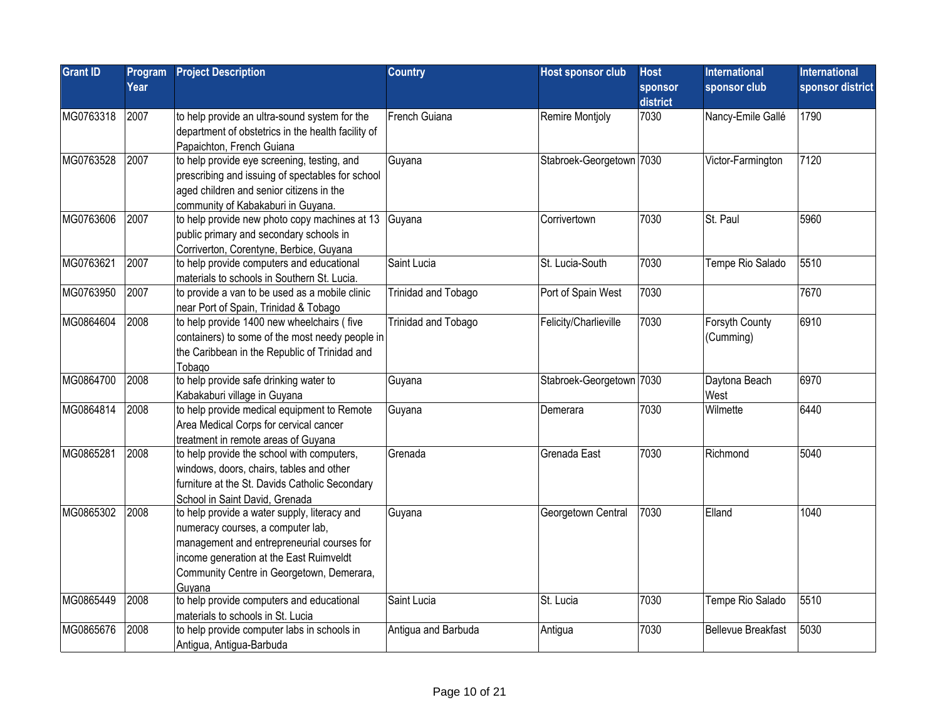| <b>Grant ID</b> | Program<br>Year | <b>Project Description</b>                                                                                                                                                                                                        | <b>Country</b>      | <b>Host sponsor club</b> | <b>Host</b><br>sponsor<br>district | International<br>sponsor club | <b>International</b><br>sponsor district |
|-----------------|-----------------|-----------------------------------------------------------------------------------------------------------------------------------------------------------------------------------------------------------------------------------|---------------------|--------------------------|------------------------------------|-------------------------------|------------------------------------------|
| MG0763318       | 2007            | to help provide an ultra-sound system for the<br>department of obstetrics in the health facility of<br>Papaichton, French Guiana                                                                                                  | French Guiana       | Remire Montjoly          | 7030                               | Nancy-Emile Gallé             | 1790                                     |
| MG0763528       | 2007            | to help provide eye screening, testing, and<br>prescribing and issuing of spectables for school<br>aged children and senior citizens in the<br>community of Kabakaburi in Guyana.                                                 | Guyana              | Stabroek-Georgetown 7030 |                                    | Victor-Farmington             | 7120                                     |
| MG0763606       | 2007            | to help provide new photo copy machines at 13 Guyana<br>public primary and secondary schools in<br>Corriverton, Corentyne, Berbice, Guyana                                                                                        |                     | Corrivertown             | 7030                               | St. Paul                      | 5960                                     |
| MG0763621       | 2007            | to help provide computers and educational<br>materials to schools in Southern St. Lucia.                                                                                                                                          | Saint Lucia         | St. Lucia-South          | 7030                               | Tempe Rio Salado              | 5510                                     |
| MG0763950       | 2007            | to provide a van to be used as a mobile clinic<br>near Port of Spain, Trinidad & Tobago                                                                                                                                           | Trinidad and Tobago | Port of Spain West       | 7030                               |                               | 7670                                     |
| MG0864604       | 2008            | to help provide 1400 new wheelchairs (five<br>containers) to some of the most needy people in<br>the Caribbean in the Republic of Trinidad and<br>Tobago                                                                          | Trinidad and Tobago | Felicity/Charlieville    | 7030                               | Forsyth County<br>(Cumming)   | 6910                                     |
| MG0864700       | 2008            | to help provide safe drinking water to<br>Kabakaburi village in Guyana                                                                                                                                                            | Guyana              | Stabroek-Georgetown 7030 |                                    | Daytona Beach<br>West         | 6970                                     |
| MG0864814       | 2008            | to help provide medical equipment to Remote<br>Area Medical Corps for cervical cancer<br>treatment in remote areas of Guyana                                                                                                      | Guyana              | lDemerara                | 7030                               | Wilmette                      | 6440                                     |
| MG0865281       | 2008            | to help provide the school with computers,<br>windows, doors, chairs, tables and other<br>furniture at the St. Davids Catholic Secondary<br>School in Saint David, Grenada                                                        | Grenada             | Grenada East             | 7030                               | Richmond                      | 5040                                     |
| MG0865302       | 2008            | to help provide a water supply, literacy and<br>numeracy courses, a computer lab,<br>management and entrepreneurial courses for<br>income generation at the East Ruimveldt<br>Community Centre in Georgetown, Demerara,<br>Guvana | Guyana              | Georgetown Central       | 7030                               | Elland                        | 1040                                     |
| MG0865449       | 2008            | to help provide computers and educational<br>materials to schools in St. Lucia                                                                                                                                                    | Saint Lucia         | St. Lucia                | 7030                               | Tempe Rio Salado              | 5510                                     |
| MG0865676       | 2008            | to help provide computer labs in schools in<br>Antigua, Antigua-Barbuda                                                                                                                                                           | Antigua and Barbuda | Antigua                  | 7030                               | <b>Bellevue Breakfast</b>     | 5030                                     |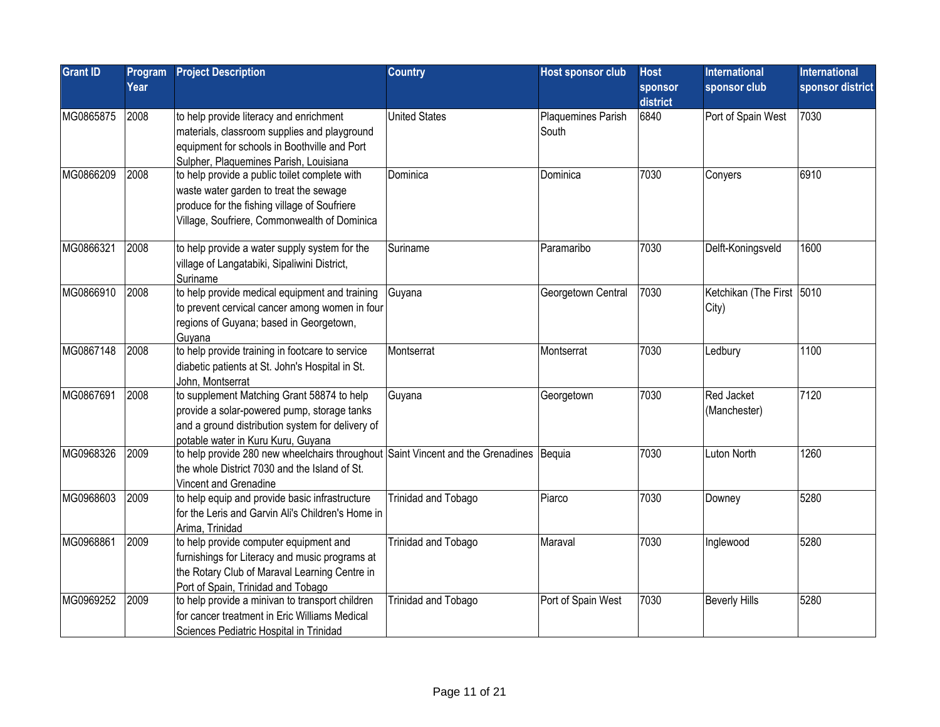| <b>Grant ID</b> | Program<br>Year | <b>Project Description</b>                                                                                                                                                              | <b>Country</b>       | <b>Host sponsor club</b>    | <b>Host</b><br>sponsor | <b>International</b><br>sponsor club | <b>International</b><br>sponsor district |
|-----------------|-----------------|-----------------------------------------------------------------------------------------------------------------------------------------------------------------------------------------|----------------------|-----------------------------|------------------------|--------------------------------------|------------------------------------------|
|                 |                 |                                                                                                                                                                                         |                      |                             | district               |                                      |                                          |
| MG0865875       | 2008            | to help provide literacy and enrichment<br>materials, classroom supplies and playground<br>equipment for schools in Boothville and Port<br>Sulpher, Plaquemines Parish, Louisiana       | <b>United States</b> | Plaquemines Parish<br>South | 6840                   | Port of Spain West                   | 7030                                     |
| MG0866209       | 2008            | to help provide a public toilet complete with<br>waste water garden to treat the sewage<br>produce for the fishing village of Soufriere<br>Village, Soufriere, Commonwealth of Dominica | Dominica             | Dominica                    | 7030                   | Conyers                              | 6910                                     |
| MG0866321       | 2008            | to help provide a water supply system for the<br>village of Langatabiki, Sipaliwini District,<br>Suriname                                                                               | Suriname             | Paramaribo                  | 7030                   | Delft-Koningsveld                    | 1600                                     |
| MG0866910       | 2008            | to help provide medical equipment and training<br>to prevent cervical cancer among women in four<br>regions of Guyana; based in Georgetown,<br>Guyana                                   | Guyana               | Georgetown Central          | 7030                   | Ketchikan (The First 5010<br>City)   |                                          |
| MG0867148       | 2008            | to help provide training in footcare to service<br>diabetic patients at St. John's Hospital in St.<br>John, Montserrat                                                                  | Montserrat           | Montserrat                  | 7030                   | Ledbury                              | 1100                                     |
| MG0867691       | 2008            | to supplement Matching Grant 58874 to help<br>provide a solar-powered pump, storage tanks<br>and a ground distribution system for delivery of<br>potable water in Kuru Kuru, Guyana     | Guyana               | Georgetown                  | 7030                   | Red Jacket<br>(Manchester)           | 7120                                     |
| MG0968326       | 2009            | to help provide 280 new wheelchairs throughout Saint Vincent and the Grenadines Bequia<br>the whole District 7030 and the Island of St.<br>Vincent and Grenadine                        |                      |                             | 7030                   | Luton North                          | 1260                                     |
| MG0968603       | 2009            | to help equip and provide basic infrastructure<br>for the Leris and Garvin Ali's Children's Home in<br>Arima, Trinidad                                                                  | Trinidad and Tobago  | Piarco                      | 7030                   | Downey                               | 5280                                     |
| MG0968861       | 2009            | to help provide computer equipment and<br>furnishings for Literacy and music programs at<br>the Rotary Club of Maraval Learning Centre in<br>Port of Spain, Trinidad and Tobago         | Trinidad and Tobago  | Maraval                     | 7030                   | Inglewood                            | 5280                                     |
| MG0969252       | 2009            | to help provide a minivan to transport children<br>for cancer treatment in Eric Williams Medical<br>Sciences Pediatric Hospital in Trinidad                                             | Trinidad and Tobago  | Port of Spain West          | 7030                   | <b>Beverly Hills</b>                 | 5280                                     |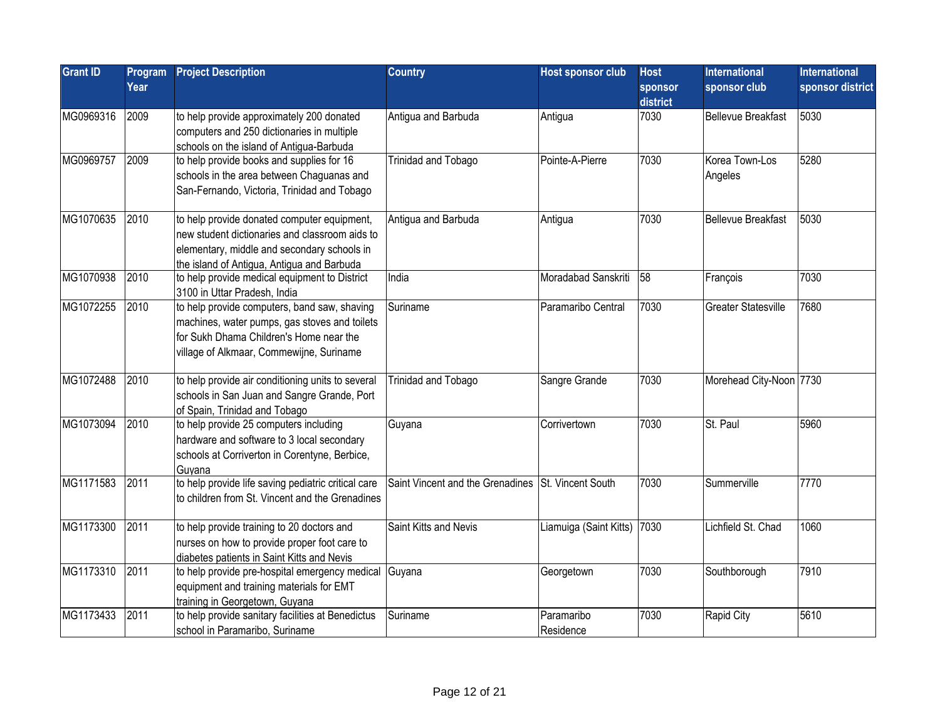| <b>Grant ID</b> | Program<br>Year | <b>Project Description</b>                                                                                                                                                                 | <b>Country</b>                                     | <b>Host sponsor club</b>    | <b>Host</b><br>sponsor<br>district | <b>International</b><br>sponsor club | <b>International</b><br>sponsor district |
|-----------------|-----------------|--------------------------------------------------------------------------------------------------------------------------------------------------------------------------------------------|----------------------------------------------------|-----------------------------|------------------------------------|--------------------------------------|------------------------------------------|
| MG0969316       | 2009            | to help provide approximately 200 donated<br>computers and 250 dictionaries in multiple<br>schools on the island of Antigua-Barbuda                                                        | Antigua and Barbuda                                | Antigua                     | 7030                               | <b>Bellevue Breakfast</b>            | 5030                                     |
| MG0969757       | 2009            | to help provide books and supplies for 16<br>schools in the area between Chaguanas and<br>San-Fernando, Victoria, Trinidad and Tobago                                                      | Trinidad and Tobago                                | Pointe-A-Pierre             | 7030                               | Korea Town-Los<br>Angeles            | 5280                                     |
| MG1070635       | 2010            | to help provide donated computer equipment,<br>new student dictionaries and classroom aids to<br>elementary, middle and secondary schools in<br>the island of Antigua, Antigua and Barbuda | Antigua and Barbuda                                | Antigua                     | 7030                               | <b>Bellevue Breakfast</b>            | 5030                                     |
| MG1070938       | 2010            | to help provide medical equipment to District<br>3100 in Uttar Pradesh, India                                                                                                              | India                                              | Moradabad Sanskriti         | 58                                 | François                             | 7030                                     |
| MG1072255       | 2010            | to help provide computers, band saw, shaving<br>machines, water pumps, gas stoves and toilets<br>for Sukh Dhama Children's Home near the<br>village of Alkmaar, Commewijne, Suriname       | Suriname                                           | Paramaribo Central          | 7030                               | <b>Greater Statesville</b>           | 7680                                     |
| MG1072488       | 2010            | to help provide air conditioning units to several<br>schools in San Juan and Sangre Grande, Port<br>of Spain, Trinidad and Tobago                                                          | Trinidad and Tobago                                | Sangre Grande               | 7030                               | Morehead City-Noon 7730              |                                          |
| MG1073094       | 2010            | to help provide 25 computers including<br>hardware and software to 3 local secondary<br>schools at Corriverton in Corentyne, Berbice,<br>Guvana                                            | Guyana                                             | Corrivertown                | 7030                               | St. Paul                             | 5960                                     |
| MG1171583       | 2011            | to help provide life saving pediatric critical care<br>to children from St. Vincent and the Grenadines                                                                                     | Saint Vincent and the Grenadines St. Vincent South |                             | 7030                               | Summerville                          | 7770                                     |
| MG1173300       | 2011            | to help provide training to 20 doctors and<br>nurses on how to provide proper foot care to<br>diabetes patients in Saint Kitts and Nevis                                                   | Saint Kitts and Nevis                              | Liamuiga (Saint Kitts) 7030 |                                    | Lichfield St. Chad                   | 1060                                     |
| MG1173310       | 2011            | to help provide pre-hospital emergency medical Guyana<br>equipment and training materials for EMT<br>training in Georgetown, Guyana                                                        |                                                    | Georgetown                  | 7030                               | Southborough                         | 7910                                     |
| MG1173433       | 2011            | to help provide sanitary facilities at Benedictus<br>school in Paramaribo, Suriname                                                                                                        | Suriname                                           | Paramaribo<br>Residence     | 7030                               | Rapid City                           | 5610                                     |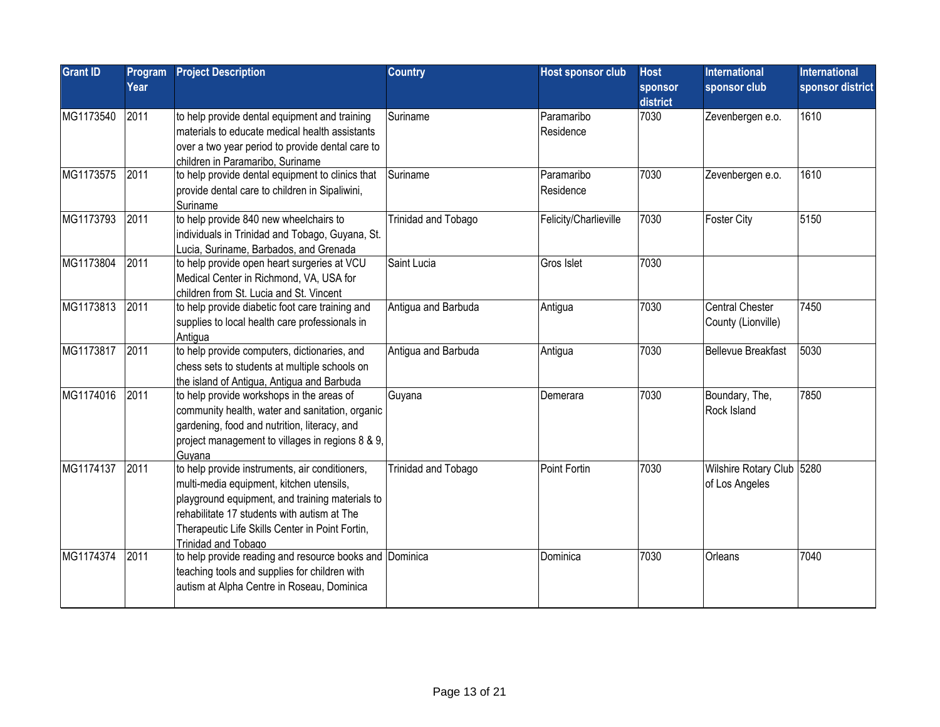| <b>Grant ID</b> | Program<br>Year | <b>Project Description</b>                                                                                                                                                                                                                                                    | <b>Country</b>      | Host sponsor club       | <b>Host</b><br>sponsor<br>district | <b>International</b><br>sponsor club        | <b>International</b><br>sponsor district |
|-----------------|-----------------|-------------------------------------------------------------------------------------------------------------------------------------------------------------------------------------------------------------------------------------------------------------------------------|---------------------|-------------------------|------------------------------------|---------------------------------------------|------------------------------------------|
| MG1173540       | 2011            | to help provide dental equipment and training<br>materials to educate medical health assistants<br>over a two year period to provide dental care to<br>children in Paramaribo, Suriname                                                                                       | Suriname            | Paramaribo<br>Residence | 7030                               | Zevenbergen e.o.                            | 1610                                     |
| MG1173575       | 2011            | to help provide dental equipment to clinics that<br>provide dental care to children in Sipaliwini,<br>Suriname                                                                                                                                                                | Suriname            | Paramaribo<br>Residence | 7030                               | Zevenbergen e.o.                            | 1610                                     |
| MG1173793       | 2011            | to help provide 840 new wheelchairs to<br>individuals in Trinidad and Tobago, Guyana, St.<br>Lucia, Suriname, Barbados, and Grenada                                                                                                                                           | Trinidad and Tobago | Felicity/Charlieville   | 7030                               | <b>Foster City</b>                          | 5150                                     |
| MG1173804       | 2011            | to help provide open heart surgeries at VCU<br>Medical Center in Richmond, VA, USA for<br>children from St. Lucia and St. Vincent                                                                                                                                             | Saint Lucia         | Gros Islet              | 7030                               |                                             |                                          |
| MG1173813       | 2011            | to help provide diabetic foot care training and<br>supplies to local health care professionals in<br>Antigua                                                                                                                                                                  | Antigua and Barbuda | Antigua                 | 7030                               | Central Chester<br>County (Lionville)       | 7450                                     |
| MG1173817       | 2011            | to help provide computers, dictionaries, and<br>chess sets to students at multiple schools on<br>the island of Antiqua, Antiqua and Barbuda                                                                                                                                   | Antigua and Barbuda | Antigua                 | 7030                               | <b>Bellevue Breakfast</b>                   | 5030                                     |
| MG1174016       | 2011            | to help provide workshops in the areas of<br>community health, water and sanitation, organic<br>gardening, food and nutrition, literacy, and<br>project management to villages in regions 8 & 9,<br>Guyana                                                                    | Guyana              | Demerara                | 7030                               | Boundary, The,<br>Rock Island               | 7850                                     |
| MG1174137       | 2011            | to help provide instruments, air conditioners,<br>multi-media equipment, kitchen utensils,<br>playground equipment, and training materials to<br>rehabilitate 17 students with autism at The<br>Therapeutic Life Skills Center in Point Fortin,<br><b>Trinidad and Tobago</b> | Trinidad and Tobago | Point Fortin            | 7030                               | Wilshire Rotary Club 5280<br>of Los Angeles |                                          |
| MG1174374       | 2011            | to help provide reading and resource books and Dominica<br>teaching tools and supplies for children with<br>autism at Alpha Centre in Roseau, Dominica                                                                                                                        |                     | Dominica                | 7030                               | Orleans                                     | 7040                                     |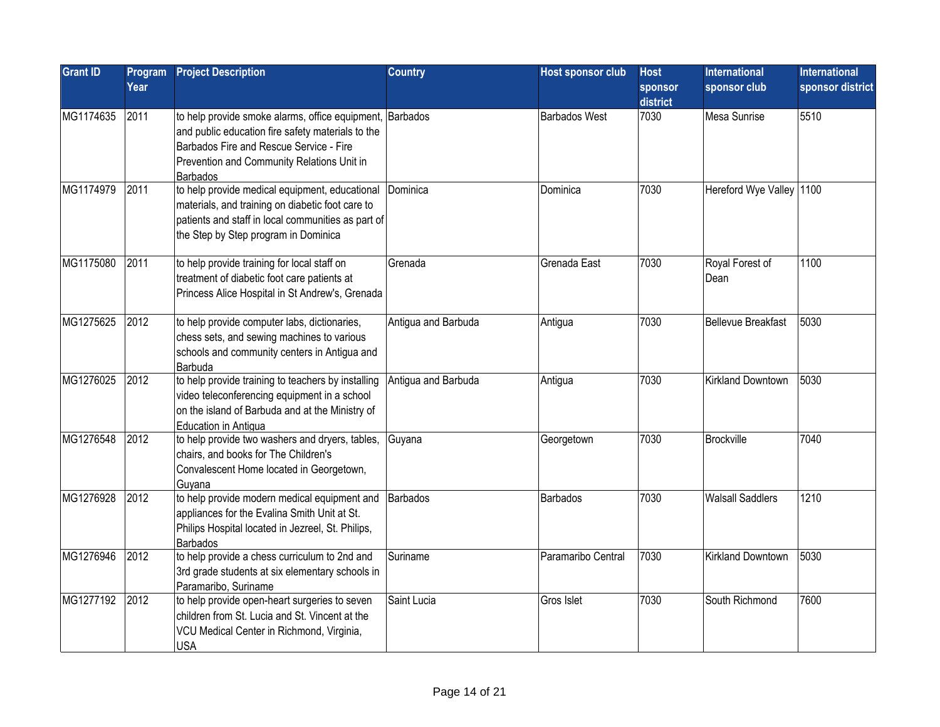| <b>Grant ID</b> | Program<br>Year | <b>Project Description</b>                                                                                                                                                                                                | <b>Country</b>      | <b>Host sponsor club</b> | <b>Host</b><br><b>sponsor</b><br>district | <b>International</b><br>sponsor club | <b>International</b><br>sponsor district |
|-----------------|-----------------|---------------------------------------------------------------------------------------------------------------------------------------------------------------------------------------------------------------------------|---------------------|--------------------------|-------------------------------------------|--------------------------------------|------------------------------------------|
| MG1174635       | 2011            | to help provide smoke alarms, office equipment, Barbados<br>and public education fire safety materials to the<br>Barbados Fire and Rescue Service - Fire<br>Prevention and Community Relations Unit in<br><b>Barbados</b> |                     | <b>Barbados West</b>     | 7030                                      | Mesa Sunrise                         | 5510                                     |
| MG1174979       | 2011            | to help provide medical equipment, educational<br>materials, and training on diabetic foot care to<br>patients and staff in local communities as part of<br>the Step by Step program in Dominica                          | Dominica            | Dominica                 | 7030                                      | Hereford Wye Valley 1100             |                                          |
| MG1175080       | 2011            | to help provide training for local staff on<br>treatment of diabetic foot care patients at<br>Princess Alice Hospital in St Andrew's, Grenada                                                                             | Grenada             | Grenada East             | 7030                                      | Royal Forest of<br>Dean              | 1100                                     |
| MG1275625       | 2012            | to help provide computer labs, dictionaries,<br>chess sets, and sewing machines to various<br>schools and community centers in Antigua and<br>Barbuda                                                                     | Antigua and Barbuda | Antigua                  | 7030                                      | <b>Bellevue Breakfast</b>            | 5030                                     |
| MG1276025       | 2012            | to help provide training to teachers by installing<br>video teleconferencing equipment in a school<br>on the island of Barbuda and at the Ministry of<br>Education in Antigua                                             | Antigua and Barbuda | Antigua                  | 7030                                      | Kirkland Downtown                    | 5030                                     |
| MG1276548       | 2012            | to help provide two washers and dryers, tables,<br>chairs, and books for The Children's<br>Convalescent Home located in Georgetown,<br>Guyana                                                                             | Guyana              | Georgetown               | 7030                                      | Brockville                           | 7040                                     |
| MG1276928       | 2012            | to help provide modern medical equipment and<br>appliances for the Evalina Smith Unit at St.<br>Philips Hospital located in Jezreel, St. Philips,<br><b>Barbados</b>                                                      | Barbados            | <b>Barbados</b>          | 7030                                      | <b>Walsall Saddlers</b>              | 1210                                     |
| MG1276946       | 2012            | to help provide a chess curriculum to 2nd and<br>3rd grade students at six elementary schools in<br>Paramaribo, Suriname                                                                                                  | Suriname            | Paramaribo Central       | 7030                                      | <b>Kirkland Downtown</b>             | 5030                                     |
| MG1277192       | 2012            | to help provide open-heart surgeries to seven<br>children from St. Lucia and St. Vincent at the<br>VCU Medical Center in Richmond, Virginia,<br><b>USA</b>                                                                | Saint Lucia         | Gros Islet               | 7030                                      | South Richmond                       | 7600                                     |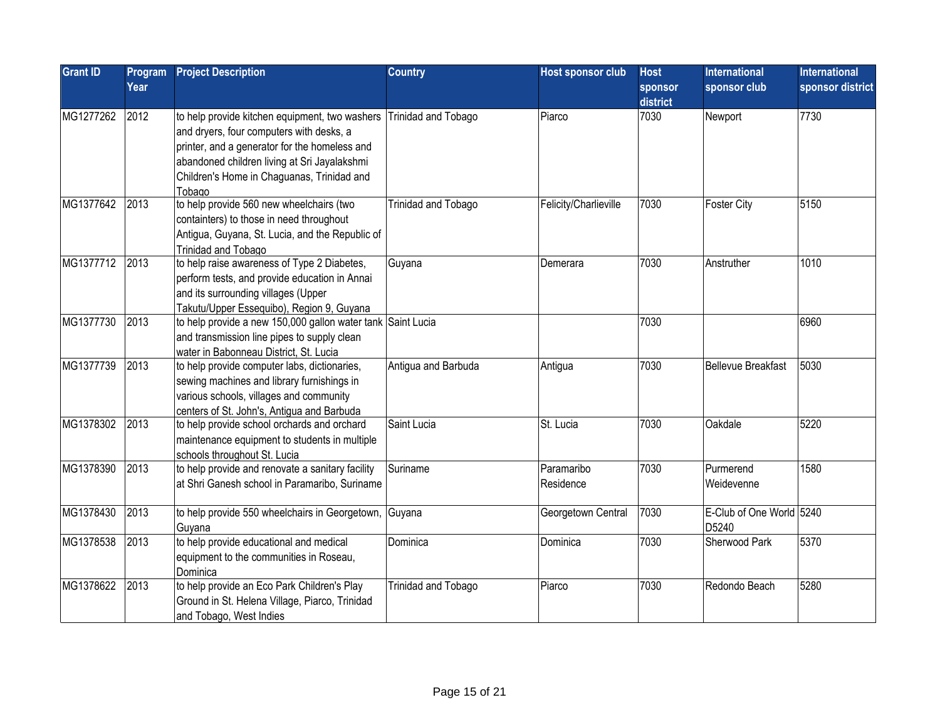| <b>Grant ID</b> | Program<br>Year | <b>Project Description</b>                                                                                                                                                                                                                                    | <b>Country</b>             | <b>Host sponsor club</b> | <b>Host</b><br>sponsor | <b>International</b><br>sponsor club | <b>International</b><br>sponsor district |
|-----------------|-----------------|---------------------------------------------------------------------------------------------------------------------------------------------------------------------------------------------------------------------------------------------------------------|----------------------------|--------------------------|------------------------|--------------------------------------|------------------------------------------|
|                 |                 |                                                                                                                                                                                                                                                               |                            |                          | district               |                                      |                                          |
| MG1277262       | 2012            | to help provide kitchen equipment, two washers Trinidad and Tobago<br>and dryers, four computers with desks, a<br>printer, and a generator for the homeless and<br>abandoned children living at Sri Jayalakshmi<br>Children's Home in Chaguanas, Trinidad and |                            | Piarco                   | 7030                   | Newport                              | 7730                                     |
| MG1377642       | 2013            | Tobago<br>to help provide 560 new wheelchairs (two<br>containters) to those in need throughout<br>Antigua, Guyana, St. Lucia, and the Republic of<br>Trinidad and Tobago                                                                                      | <b>Trinidad and Tobago</b> | Felicity/Charlieville    | 7030                   | <b>Foster City</b>                   | 5150                                     |
| MG1377712       | 2013            | to help raise awareness of Type 2 Diabetes,<br>perform tests, and provide education in Annai<br>and its surrounding villages (Upper<br>Takutu/Upper Essequibo), Region 9, Guyana                                                                              | Guyana                     | Demerara                 | 7030                   | Anstruther                           | 1010                                     |
| MG1377730       | 2013            | to help provide a new 150,000 gallon water tank Saint Lucia<br>and transmission line pipes to supply clean<br>water in Babonneau District, St. Lucia                                                                                                          |                            |                          | 7030                   |                                      | 6960                                     |
| MG1377739       | 2013            | to help provide computer labs, dictionaries,<br>sewing machines and library furnishings in<br>various schools, villages and community<br>centers of St. John's, Antigua and Barbuda                                                                           | Antigua and Barbuda        | Antigua                  | 7030                   | <b>Bellevue Breakfast</b>            | 5030                                     |
| MG1378302       | 2013            | to help provide school orchards and orchard<br>maintenance equipment to students in multiple<br>schools throughout St. Lucia                                                                                                                                  | Saint Lucia                | St. Lucia                | 7030                   | Oakdale                              | 5220                                     |
| MG1378390       | 2013            | to help provide and renovate a sanitary facility<br>at Shri Ganesh school in Paramaribo, Suriname                                                                                                                                                             | Suriname                   | Paramaribo<br>Residence  | 7030                   | Purmerend<br>Weidevenne              | 1580                                     |
| MG1378430       | 2013            | to help provide 550 wheelchairs in Georgetown,<br>Guyana                                                                                                                                                                                                      | Guyana                     | Georgetown Central       | 7030                   | E-Club of One World 5240<br>D5240    |                                          |
| MG1378538       | 2013            | to help provide educational and medical<br>equipment to the communities in Roseau,<br>Dominica                                                                                                                                                                | Dominica                   | Dominica                 | 7030                   | Sherwood Park                        | 5370                                     |
| MG1378622       | 2013            | to help provide an Eco Park Children's Play<br>Ground in St. Helena Village, Piarco, Trinidad<br>and Tobago, West Indies                                                                                                                                      | Trinidad and Tobago        | Piarco                   | 7030                   | Redondo Beach                        | 5280                                     |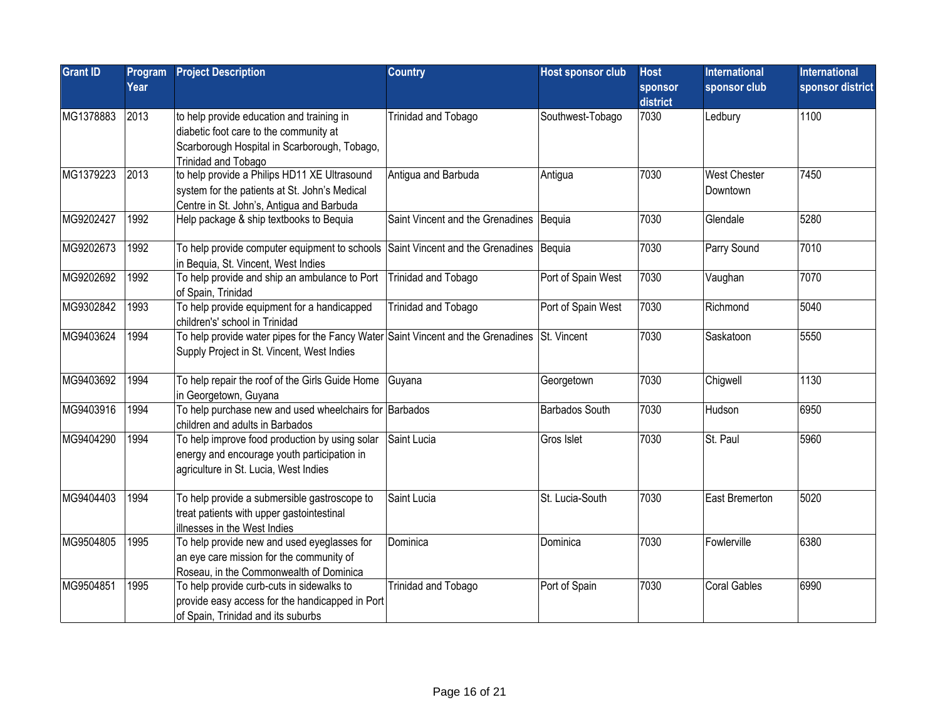| <b>Grant ID</b> | Program | <b>Project Description</b>                                                                                                                                 | <b>Country</b>                            | <b>Host sponsor club</b> | <b>Host</b>         | <b>International</b>            | <b>International</b> |
|-----------------|---------|------------------------------------------------------------------------------------------------------------------------------------------------------------|-------------------------------------------|--------------------------|---------------------|---------------------------------|----------------------|
|                 | Year    |                                                                                                                                                            |                                           |                          | sponsor<br>district | sponsor club                    | sponsor district     |
| MG1378883       | 2013    | to help provide education and training in<br>diabetic foot care to the community at<br>Scarborough Hospital in Scarborough, Tobago,<br>Trinidad and Tobago | Trinidad and Tobago                       | Southwest-Tobago         | 7030                | Ledbury                         | 1100                 |
| MG1379223       | 2013    | to help provide a Philips HD11 XE Ultrasound<br>system for the patients at St. John's Medical<br>Centre in St. John's, Antigua and Barbuda                 | Antigua and Barbuda                       | Antigua                  | 7030                | <b>West Chester</b><br>Downtown | 7450                 |
| MG9202427       | 1992    | Help package & ship textbooks to Bequia                                                                                                                    | Saint Vincent and the Grenadines   Bequia |                          | 7030                | Glendale                        | 5280                 |
| MG9202673       | 1992    | To help provide computer equipment to schools Saint Vincent and the Grenadines Bequia<br>in Bequia, St. Vincent, West Indies                               |                                           |                          | 7030                | Parry Sound                     | 7010                 |
| MG9202692       | 1992    | To help provide and ship an ambulance to Port<br>of Spain, Trinidad                                                                                        | Trinidad and Tobago                       | Port of Spain West       | 7030                | Vaughan                         | 7070                 |
| MG9302842       | 1993    | To help provide equipment for a handicapped<br>children's' school in Trinidad                                                                              | Trinidad and Tobago                       | Port of Spain West       | 7030                | Richmond                        | 5040                 |
| MG9403624       | 1994    | To help provide water pipes for the Fancy Water Saint Vincent and the Grenadines<br>Supply Project in St. Vincent, West Indies                             |                                           | St. Vincent              | 7030                | Saskatoon                       | 5550                 |
| MG9403692       | 1994    | To help repair the roof of the Girls Guide Home<br>in Georgetown, Guyana                                                                                   | Guyana                                    | Georgetown               | 7030                | Chigwell                        | 1130                 |
| MG9403916       | 1994    | To help purchase new and used wheelchairs for Barbados<br>children and adults in Barbados                                                                  |                                           | <b>Barbados South</b>    | 7030                | Hudson                          | 6950                 |
| MG9404290       | 1994    | To help improve food production by using solar<br>energy and encourage youth participation in<br>agriculture in St. Lucia, West Indies                     | Saint Lucia                               | Gros Islet               | 7030                | St. Paul                        | 5960                 |
| MG9404403       | 1994    | To help provide a submersible gastroscope to<br>treat patients with upper gastointestinal<br>illnesses in the West Indies                                  | Saint Lucia                               | St. Lucia-South          | 7030                | East Bremerton                  | 5020                 |
| MG9504805       | 1995    | To help provide new and used eyeglasses for<br>an eye care mission for the community of<br>Roseau, in the Commonwealth of Dominica                         | Dominica                                  | Dominica                 | 7030                | Fowlerville                     | 6380                 |
| MG9504851       | 1995    | To help provide curb-cuts in sidewalks to<br>provide easy access for the handicapped in Port<br>of Spain, Trinidad and its suburbs                         | Trinidad and Tobago                       | Port of Spain            | 7030                | <b>Coral Gables</b>             | 6990                 |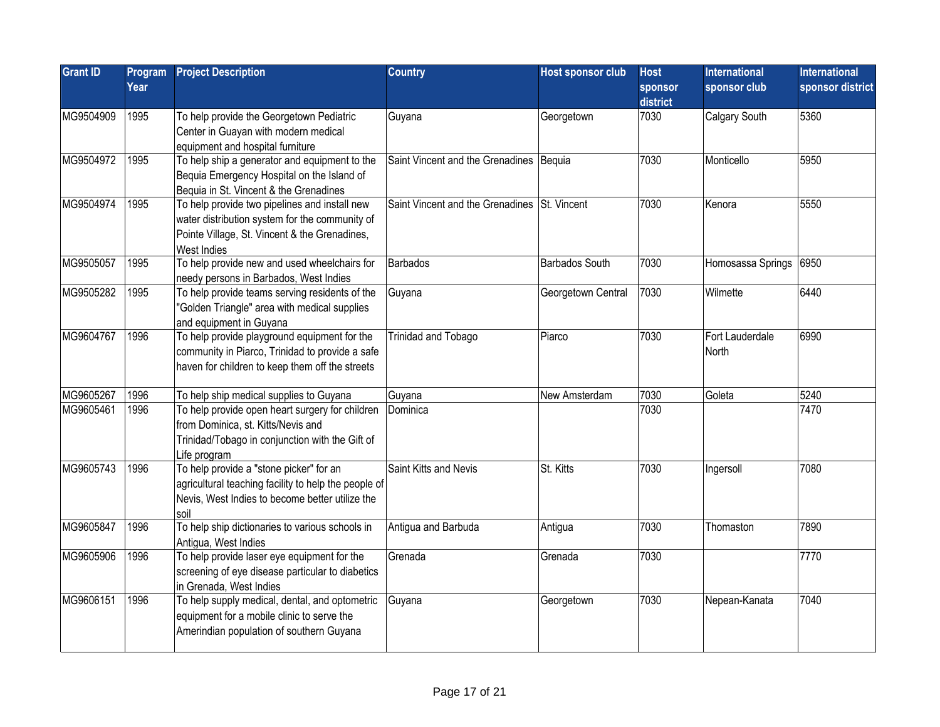| <b>Grant ID</b> | Program<br>Year | <b>Project Description</b>                                                                                                                                      | <b>Country</b>                               | <b>Host sponsor club</b> | <b>Host</b><br>sponsor<br>district | International<br>sponsor club | <b>International</b><br>sponsor district |
|-----------------|-----------------|-----------------------------------------------------------------------------------------------------------------------------------------------------------------|----------------------------------------------|--------------------------|------------------------------------|-------------------------------|------------------------------------------|
| MG9504909       | 1995            | To help provide the Georgetown Pediatric<br>Center in Guayan with modern medical<br>equipment and hospital furniture                                            | Guyana                                       | Georgetown               | 7030                               | Calgary South                 | 5360                                     |
| MG9504972       | 1995            | To help ship a generator and equipment to the<br>Bequia Emergency Hospital on the Island of<br>Bequia in St. Vincent & the Grenadines                           | Saint Vincent and the Grenadines   Bequia    |                          | 7030                               | Monticello                    | 5950                                     |
| MG9504974       | 1995            | To help provide two pipelines and install new<br>water distribution system for the community of<br>Pointe Village, St. Vincent & the Grenadines,<br>West Indies | Saint Vincent and the Grenadines St. Vincent |                          | 7030                               | Kenora                        | 5550                                     |
| MG9505057       | 1995            | To help provide new and used wheelchairs for<br>needy persons in Barbados, West Indies                                                                          | <b>Barbados</b>                              | Barbados South           | 7030                               | Homosassa Springs             | 6950                                     |
| MG9505282       | 1995            | To help provide teams serving residents of the<br>'Golden Triangle" area with medical supplies<br>and equipment in Guyana                                       | Guyana                                       | Georgetown Central       | 7030                               | Wilmette                      | 6440                                     |
| MG9604767       | 1996            | To help provide playground equipment for the<br>community in Piarco, Trinidad to provide a safe<br>haven for children to keep them off the streets              | Trinidad and Tobago                          | Piarco                   | 7030                               | Fort Lauderdale<br>North      | 6990                                     |
| MG9605267       | 1996            | To help ship medical supplies to Guyana                                                                                                                         | Guyana                                       | New Amsterdam            | 7030                               | Goleta                        | 5240                                     |
| MG9605461       | 1996            | To help provide open heart surgery for children<br>from Dominica, st. Kitts/Nevis and<br>Trinidad/Tobago in conjunction with the Gift of<br>Life program        | Dominica                                     |                          | 7030                               |                               | 7470                                     |
| MG9605743       | 1996            | To help provide a "stone picker" for an<br>agricultural teaching facility to help the people of<br>Nevis, West Indies to become better utilize the<br>soil      | Saint Kitts and Nevis                        | St. Kitts                | 7030                               | Ingersoll                     | 7080                                     |
| MG9605847       | 1996            | To help ship dictionaries to various schools in<br>Antigua, West Indies                                                                                         | Antigua and Barbuda                          | Antigua                  | 7030                               | Thomaston                     | 7890                                     |
| MG9605906       | 1996            | To help provide laser eye equipment for the<br>screening of eye disease particular to diabetics<br>in Grenada, West Indies                                      | Grenada                                      | Grenada                  | 7030                               |                               | 7770                                     |
| MG9606151       | 1996            | To help supply medical, dental, and optometric<br>equipment for a mobile clinic to serve the<br>Amerindian population of southern Guyana                        | Guyana                                       | Georgetown               | 7030                               | Nepean-Kanata                 | 7040                                     |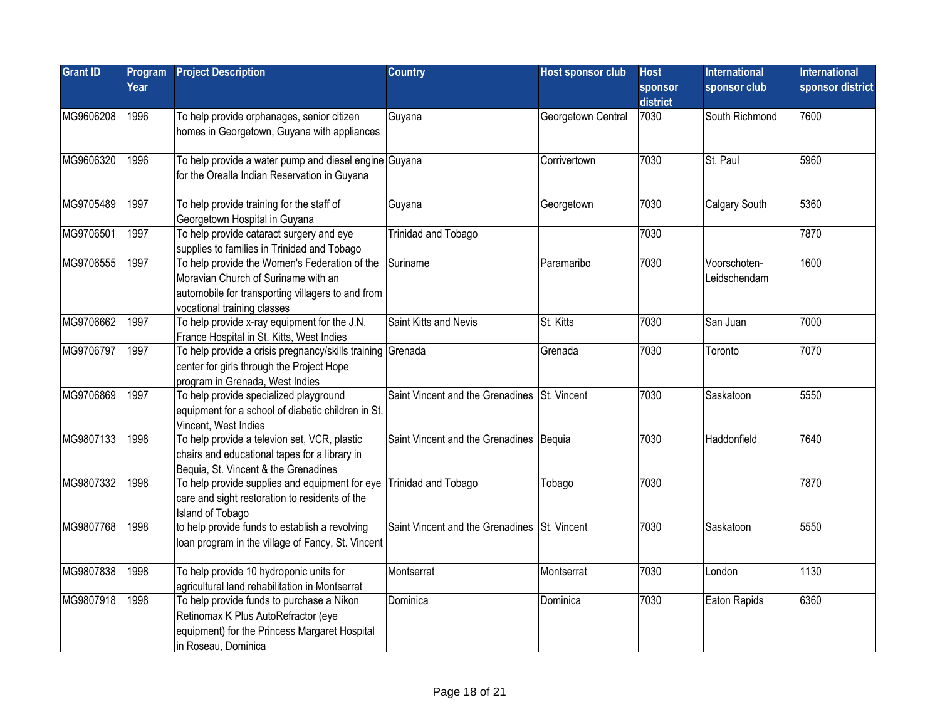| <b>Grant ID</b> | Program<br>Year | <b>Project Description</b>                                                                                                                                               | <b>Country</b>                               | Host sponsor club  | <b>Host</b><br>sponsor | <b>International</b><br>sponsor club | <b>International</b><br>sponsor district |
|-----------------|-----------------|--------------------------------------------------------------------------------------------------------------------------------------------------------------------------|----------------------------------------------|--------------------|------------------------|--------------------------------------|------------------------------------------|
|                 |                 |                                                                                                                                                                          |                                              |                    | district               |                                      |                                          |
| MG9606208       | 1996            | To help provide orphanages, senior citizen<br>homes in Georgetown, Guyana with appliances                                                                                | Guyana                                       | Georgetown Central | 7030                   | South Richmond                       | 7600                                     |
| MG9606320       | 1996            | To help provide a water pump and diesel engine Guyana<br>for the Orealla Indian Reservation in Guyana                                                                    |                                              | Corrivertown       | 7030                   | St. Paul                             | 5960                                     |
| MG9705489       | 1997            | To help provide training for the staff of<br>Georgetown Hospital in Guyana                                                                                               | Guyana                                       | Georgetown         | 7030                   | Calgary South                        | 5360                                     |
| MG9706501       | 1997            | To help provide cataract surgery and eye<br>supplies to families in Trinidad and Tobago                                                                                  | Trinidad and Tobago                          |                    | 7030                   |                                      | 7870                                     |
| MG9706555       | 1997            | To help provide the Women's Federation of the<br>Moravian Church of Suriname with an<br>automobile for transporting villagers to and from<br>vocational training classes | Suriname                                     | Paramaribo         | 7030                   | Voorschoten-<br>Leidschendam         | 1600                                     |
| MG9706662       | 1997            | To help provide x-ray equipment for the J.N.<br>France Hospital in St. Kitts, West Indies                                                                                | Saint Kitts and Nevis                        | St. Kitts          | 7030                   | San Juan                             | 7000                                     |
| MG9706797       | 1997            | To help provide a crisis pregnancy/skills training Grenada<br>center for girls through the Project Hope<br>program in Grenada, West Indies                               |                                              | Grenada            | 7030                   | Toronto                              | 7070                                     |
| MG9706869       | 1997            | To help provide specialized playground<br>equipment for a school of diabetic children in St.<br>Vincent, West Indies                                                     | Saint Vincent and the Grenadines St. Vincent |                    | 7030                   | Saskatoon                            | 5550                                     |
| MG9807133       | 1998            | To help provide a televion set, VCR, plastic<br>chairs and educational tapes for a library in<br>Bequia, St. Vincent & the Grenadines                                    | Saint Vincent and the Grenadines Bequia      |                    | 7030                   | Haddonfield                          | 7640                                     |
| MG9807332       | 1998            | To help provide supplies and equipment for eye<br>care and sight restoration to residents of the<br>Island of Tobago                                                     | Trinidad and Tobago                          | Tobago             | 7030                   |                                      | 7870                                     |
| MG9807768       | 1998            | to help provide funds to establish a revolving<br>loan program in the village of Fancy, St. Vincent                                                                      | Saint Vincent and the Grenadines St. Vincent |                    | 7030                   | Saskatoon                            | 5550                                     |
| MG9807838       | 1998            | To help provide 10 hydroponic units for<br>agricultural land rehabilitation in Montserrat                                                                                | Montserrat                                   | Montserrat         | 7030                   | London                               | 1130                                     |
| MG9807918       | 1998            | To help provide funds to purchase a Nikon<br>Retinomax K Plus AutoRefractor (eye<br>equipment) for the Princess Margaret Hospital<br>in Roseau, Dominica                 | Dominica                                     | Dominica           | 7030                   | Eaton Rapids                         | 6360                                     |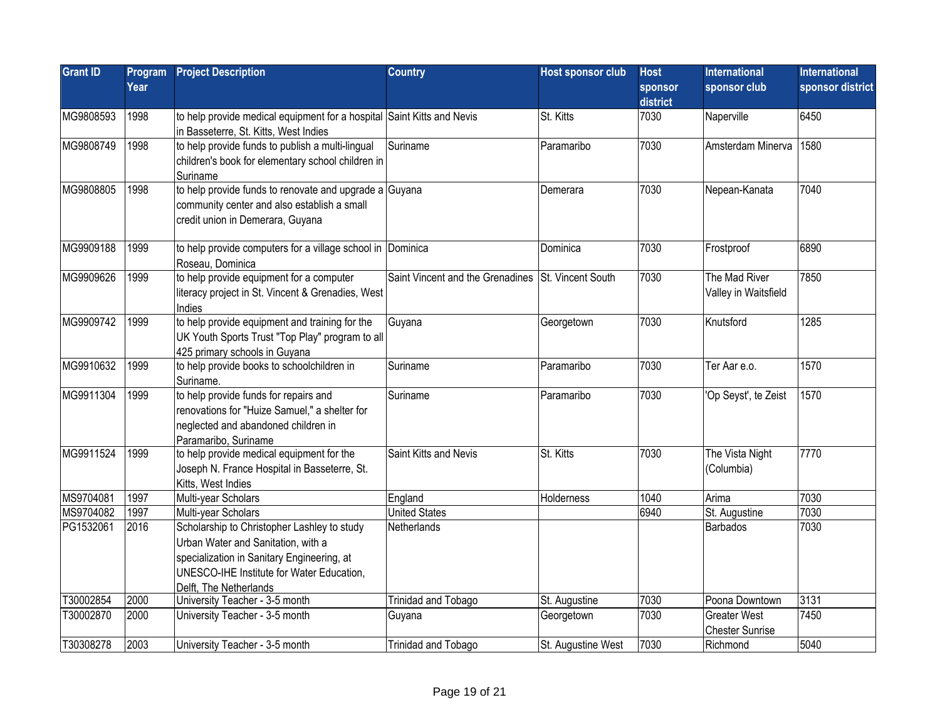| <b>Grant ID</b> | Program<br>Year | <b>Project Description</b>                                                                                                                                                                             | <b>Country</b>                                     | <b>Host sponsor club</b> | <b>Host</b><br>sponsor<br>district | <b>International</b><br>sponsor club          | <b>International</b><br>sponsor district |
|-----------------|-----------------|--------------------------------------------------------------------------------------------------------------------------------------------------------------------------------------------------------|----------------------------------------------------|--------------------------|------------------------------------|-----------------------------------------------|------------------------------------------|
| MG9808593       | 1998            | to help provide medical equipment for a hospital Saint Kitts and Nevis<br>in Basseterre, St. Kitts, West Indies                                                                                        |                                                    | St. Kitts                | 7030                               | Naperville                                    | 6450                                     |
| MG9808749       | 1998            | to help provide funds to publish a multi-lingual<br>children's book for elementary school children in<br>Suriname                                                                                      | Suriname                                           | Paramaribo               | 7030                               | Amsterdam Minerva                             | 1580                                     |
| MG9808805       | 1998            | to help provide funds to renovate and upgrade a Guyana<br>community center and also establish a small<br>credit union in Demerara, Guyana                                                              |                                                    | Demerara                 | 7030                               | Nepean-Kanata                                 | 7040                                     |
| MG9909188       | 1999            | to help provide computers for a village school in Dominica<br>Roseau, Dominica                                                                                                                         |                                                    | Dominica                 | 7030                               | Frostproof                                    | 6890                                     |
| MG9909626       | 1999            | to help provide equipment for a computer<br>literacy project in St. Vincent & Grenadies, West<br>Indies                                                                                                | Saint Vincent and the Grenadines St. Vincent South |                          | 7030                               | The Mad River<br>Valley in Waitsfield         | 7850                                     |
| MG9909742       | 1999            | to help provide equipment and training for the<br>UK Youth Sports Trust "Top Play" program to all<br>425 primary schools in Guyana                                                                     | Guyana                                             | Georgetown               | 7030                               | Knutsford                                     | 1285                                     |
| MG9910632       | 1999            | to help provide books to schoolchildren in<br>Suriname.                                                                                                                                                | Suriname                                           | Paramaribo               | 7030                               | Ter Aar e.o.                                  | 1570                                     |
| MG9911304       | 1999            | to help provide funds for repairs and<br>renovations for "Huize Samuel," a shelter for<br>neglected and abandoned children in<br>Paramaribo, Suriname                                                  | Suriname                                           | Paramaribo               | 7030                               | 'Op Seyst', te Zeist                          | 1570                                     |
| MG9911524       | 1999            | to help provide medical equipment for the<br>Joseph N. France Hospital in Basseterre, St.<br>Kitts, West Indies                                                                                        | Saint Kitts and Nevis                              | St. Kitts                | 7030                               | The Vista Night<br>(Columbia)                 | 7770                                     |
| MS9704081       | 1997            | Multi-year Scholars                                                                                                                                                                                    | England                                            | Holderness               | 1040                               | Arima                                         | 7030                                     |
| MS9704082       | 1997            | Multi-year Scholars                                                                                                                                                                                    | <b>United States</b>                               |                          | 6940                               | St. Augustine                                 | 7030                                     |
| PG1532061       | 2016            | Scholarship to Christopher Lashley to study<br>Urban Water and Sanitation, with a<br>specialization in Sanitary Engineering, at<br>UNESCO-IHE Institute for Water Education,<br>Delft. The Netherlands | Netherlands                                        |                          |                                    | Barbados                                      | 7030                                     |
| T30002854       | 2000            | University Teacher - 3-5 month                                                                                                                                                                         | Trinidad and Tobago                                | St. Augustine            | 7030                               | Poona Downtown                                | 3131                                     |
| T30002870       | 2000            | University Teacher - 3-5 month                                                                                                                                                                         | Guyana                                             | Georgetown               | 7030                               | <b>Greater West</b><br><b>Chester Sunrise</b> | 7450                                     |
| T30308278       | 2003            | University Teacher - 3-5 month                                                                                                                                                                         | Trinidad and Tobago                                | St. Augustine West       | 7030                               | Richmond                                      | 5040                                     |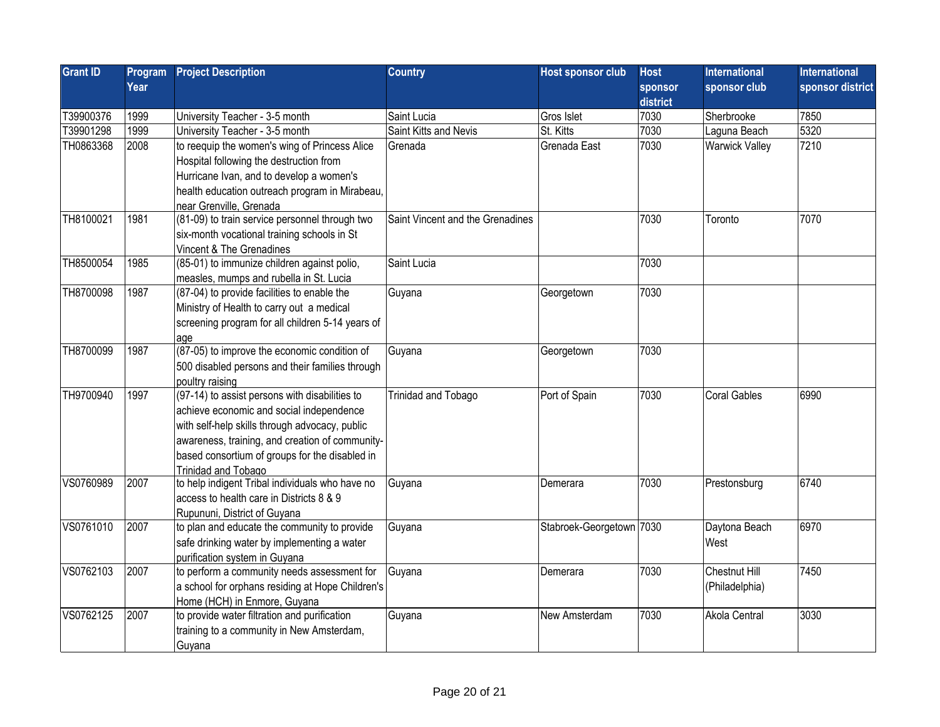| <b>Grant ID</b> | Program | <b>Project Description</b>                       | <b>Country</b>                   | <b>Host sponsor club</b> | <b>Host</b>    | International         | <b>International</b> |
|-----------------|---------|--------------------------------------------------|----------------------------------|--------------------------|----------------|-----------------------|----------------------|
|                 | Year    |                                                  |                                  |                          | <b>sponsor</b> | sponsor club          | sponsor district     |
|                 |         |                                                  |                                  |                          | district       |                       |                      |
| T39900376       | 1999    | University Teacher - 3-5 month                   | Saint Lucia                      | Gros Islet               | 7030           | Sherbrooke            | 7850                 |
| T39901298       | 1999    | University Teacher - 3-5 month                   | Saint Kitts and Nevis            | St. Kitts                | 7030           | Laguna Beach          | 5320                 |
| TH0863368       | 2008    | to reequip the women's wing of Princess Alice    | Grenada                          | Grenada East             | 7030           | <b>Warwick Valley</b> | 7210                 |
|                 |         | Hospital following the destruction from          |                                  |                          |                |                       |                      |
|                 |         | Hurricane Ivan, and to develop a women's         |                                  |                          |                |                       |                      |
|                 |         | health education outreach program in Mirabeau,   |                                  |                          |                |                       |                      |
|                 |         | near Grenville, Grenada                          |                                  |                          |                |                       |                      |
| TH8100021       | 1981    | (81-09) to train service personnel through two   | Saint Vincent and the Grenadines |                          | 7030           | Toronto               | 7070                 |
|                 |         | six-month vocational training schools in St      |                                  |                          |                |                       |                      |
|                 |         | Vincent & The Grenadines                         |                                  |                          |                |                       |                      |
| TH8500054       | 1985    | (85-01) to immunize children against polio,      | Saint Lucia                      |                          | 7030           |                       |                      |
|                 |         | measles, mumps and rubella in St. Lucia          |                                  |                          |                |                       |                      |
| TH8700098       | 1987    | (87-04) to provide facilities to enable the      | Guyana                           | Georgetown               | 7030           |                       |                      |
|                 |         | Ministry of Health to carry out a medical        |                                  |                          |                |                       |                      |
|                 |         | screening program for all children 5-14 years of |                                  |                          |                |                       |                      |
|                 |         | age                                              |                                  |                          |                |                       |                      |
| TH8700099       | 1987    | (87-05) to improve the economic condition of     | Guyana                           | Georgetown               | 7030           |                       |                      |
|                 |         | 500 disabled persons and their families through  |                                  |                          |                |                       |                      |
|                 |         | poultry raising                                  |                                  |                          |                |                       |                      |
| TH9700940       | 1997    | (97-14) to assist persons with disabilities to   | Trinidad and Tobago              | Port of Spain            | 7030           | Coral Gables          | 6990                 |
|                 |         | achieve economic and social independence         |                                  |                          |                |                       |                      |
|                 |         | with self-help skills through advocacy, public   |                                  |                          |                |                       |                      |
|                 |         | awareness, training, and creation of community-  |                                  |                          |                |                       |                      |
|                 |         | based consortium of groups for the disabled in   |                                  |                          |                |                       |                      |
|                 |         | Trinidad and Tobago                              |                                  |                          |                |                       |                      |
| VS0760989       | 2007    | to help indigent Tribal individuals who have no  | Guyana                           | Demerara                 | 7030           | Prestonsburg          | 6740                 |
|                 |         | access to health care in Districts 8 & 9         |                                  |                          |                |                       |                      |
|                 |         | Rupununi, District of Guyana                     |                                  |                          |                |                       |                      |
| VS0761010       | 2007    | to plan and educate the community to provide     | Guyana                           | Stabroek-Georgetown 7030 |                | Daytona Beach         | 6970                 |
|                 |         | safe drinking water by implementing a water      |                                  |                          |                | West                  |                      |
|                 |         | purification system in Guyana                    |                                  |                          |                |                       |                      |
| VS0762103       | 2007    | to perform a community needs assessment for      | Guyana                           | Demerara                 | 7030           | Chestnut Hill         | 7450                 |
|                 |         | a school for orphans residing at Hope Children's |                                  |                          |                | (Philadelphia)        |                      |
|                 |         | Home (HCH) in Enmore, Guyana                     |                                  |                          |                |                       |                      |
| VS0762125       | 2007    | to provide water filtration and purification     | Guyana                           | New Amsterdam            | 7030           | Akola Central         | 3030                 |
|                 |         | training to a community in New Amsterdam,        |                                  |                          |                |                       |                      |
|                 |         | Guyana                                           |                                  |                          |                |                       |                      |